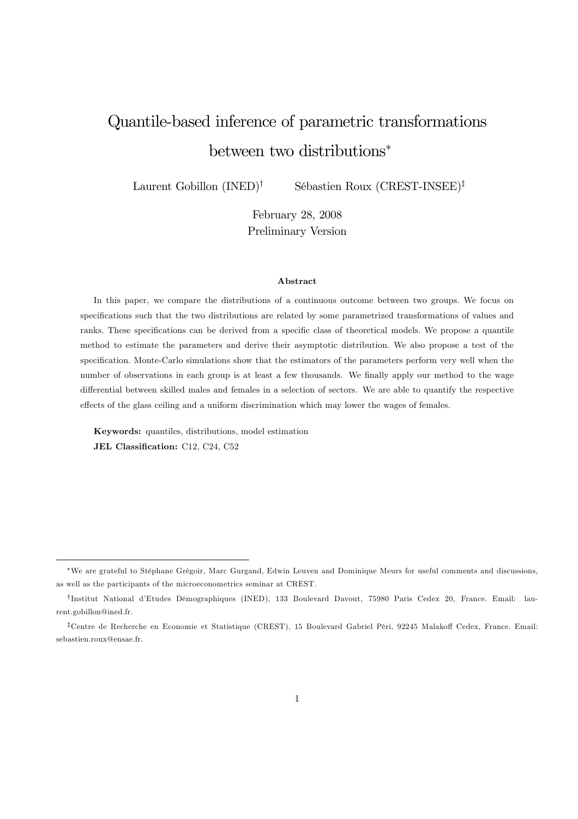# Quantile-based inference of parametric transformations between two distributions<sup>∗</sup>

Laurent Gobillon (INED)† Sébastien Roux (CREST-INSEE)‡

February 28, 2008 Preliminary Version

#### Abstract

In this paper, we compare the distributions of a continuous outcome between two groups. We focus on specifications such that the two distributions are related by some parametrized transformations of values and ranks. These specifications can be derived from a specific class of theoretical models. We propose a quantile method to estimate the parameters and derive their asymptotic distribution. We also propose a test of the specification. Monte-Carlo simulations show that the estimators of the parameters perform very well when the number of observations in each group is at least a few thousands. We finally apply our method to the wage differential between skilled males and females in a selection of sectors. We are able to quantify the respective effects of the glass ceiling and a uniform discrimination which may lower the wages of females.

Keywords: quantiles, distributions, model estimation JEL Classification: C12, C24, C52

<sup>∗</sup>We are grateful to Stéphane Grégoir, Marc Gurgand, Edwin Leuven and Dominique Meurs for useful comments and discussions, as well as the participants of the microeconometrics seminar at CREST.

<sup>†</sup>Institut National d'Etudes Démographiques (INED), 133 Boulevard Davout, 75980 Paris Cedex 20, France. Email: laurent.gobillon@ined.fr.

<sup>‡</sup>Centre de Recherche en Economie et Statistique (CREST), 15 Boulevard Gabriel Péri, 92245 Malakoff Cedex, France. Email: sebastien.roux@ensae.fr.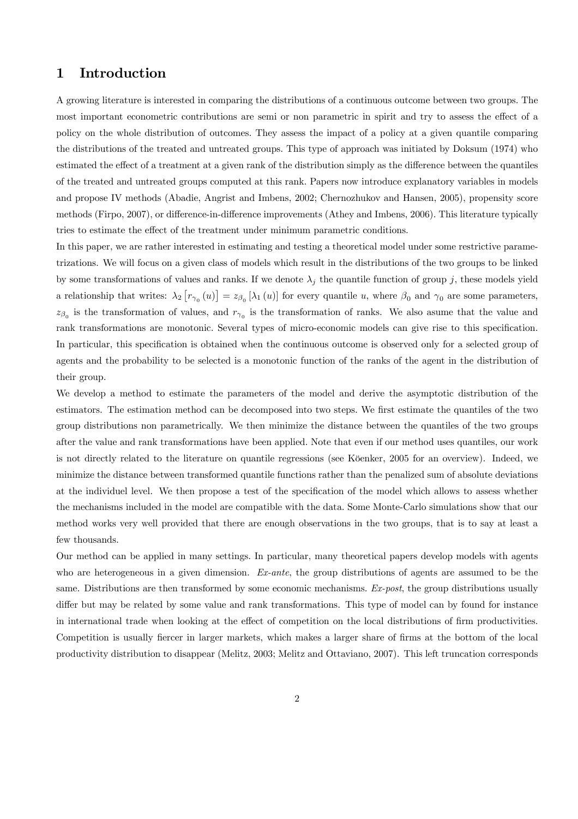# 1 Introduction

A growing literature is interested in comparing the distributions of a continuous outcome between two groups. The most important econometric contributions are semi or non parametric in spirit and try to assess the effect of a policy on the whole distribution of outcomes. They assess the impact of a policy at a given quantile comparing the distributions of the treated and untreated groups. This type of approach was initiated by Doksum (1974) who estimated the effect of a treatment at a given rank of the distribution simply as the difference between the quantiles of the treated and untreated groups computed at this rank. Papers now introduce explanatory variables in models and propose IV methods (Abadie, Angrist and Imbens, 2002; Chernozhukov and Hansen, 2005), propensity score methods (Firpo, 2007), or difference-in-difference improvements (Athey and Imbens, 2006). This literature typically tries to estimate the effect of the treatment under minimum parametric conditions.

In this paper, we are rather interested in estimating and testing a theoretical model under some restrictive parametrizations. We will focus on a given class of models which result in the distributions of the two groups to be linked by some transformations of values and ranks. If we denote  $\lambda_j$  the quantile function of group j, these models yield a relationship that writes:  $\lambda_2 \left[ r_{\gamma_0}(u) \right] = z_{\beta_0} \left[ \lambda_1(u) \right]$  for every quantile u, where  $\beta_0$  and  $\gamma_0$  are some parameters,  $z_{\beta_0}$  is the transformation of values, and  $r_{\gamma_0}$  is the transformation of ranks. We also asume that the value and rank transformations are monotonic. Several types of micro-economic models can give rise to this specification. In particular, this specification is obtained when the continuous outcome is observed only for a selected group of agents and the probability to be selected is a monotonic function of the ranks of the agent in the distribution of their group.

We develop a method to estimate the parameters of the model and derive the asymptotic distribution of the estimators. The estimation method can be decomposed into two steps. We first estimate the quantiles of the two group distributions non parametrically. We then minimize the distance between the quantiles of the two groups after the value and rank transformations have been applied. Note that even if our method uses quantiles, our work is not directly related to the literature on quantile regressions (see Köenker, 2005 for an overview). Indeed, we minimize the distance between transformed quantile functions rather than the penalized sum of absolute deviations at the individuel level. We then propose a test of the specification of the model which allows to assess whether the mechanisms included in the model are compatible with the data. Some Monte-Carlo simulations show that our method works very well provided that there are enough observations in the two groups, that is to say at least a few thousands.

Our method can be applied in many settings. In particular, many theoretical papers develop models with agents who are heterogeneous in a given dimension. Ex-ante, the group distributions of agents are assumed to be the same. Distributions are then transformed by some economic mechanisms. Ex-post, the group distributions usually differ but may be related by some value and rank transformations. This type of model can by found for instance in international trade when looking at the effect of competition on the local distributions of firm productivities. Competition is usually fiercer in larger markets, which makes a larger share of firms at the bottom of the local productivity distribution to disappear (Melitz, 2003; Melitz and Ottaviano, 2007). This left truncation corresponds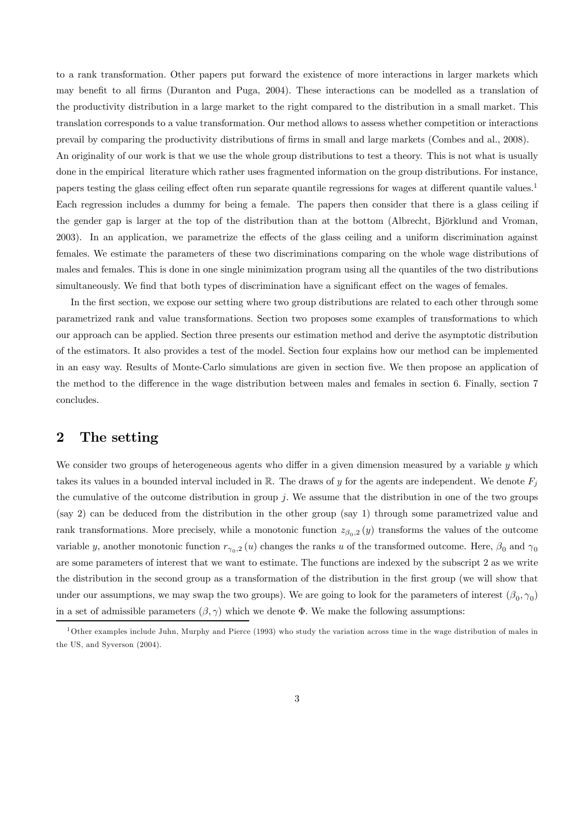to a rank transformation. Other papers put forward the existence of more interactions in larger markets which may benefit to all firms (Duranton and Puga, 2004). These interactions can be modelled as a translation of the productivity distribution in a large market to the right compared to the distribution in a small market. This translation corresponds to a value transformation. Our method allows to assess whether competition or interactions prevail by comparing the productivity distributions of firms in small and large markets (Combes and al., 2008).

An originality of our work is that we use the whole group distributions to test a theory. This is not what is usually done in the empirical literature which rather uses fragmented information on the group distributions. For instance, papers testing the glass ceiling effect often run separate quantile regressions for wages at different quantile values.<sup>1</sup> Each regression includes a dummy for being a female. The papers then consider that there is a glass ceiling if the gender gap is larger at the top of the distribution than at the bottom (Albrecht, Björklund and Vroman, 2003). In an application, we parametrize the effects of the glass ceiling and a uniform discrimination against females. We estimate the parameters of these two discriminations comparing on the whole wage distributions of males and females. This is done in one single minimization program using all the quantiles of the two distributions simultaneously. We find that both types of discrimination have a significant effect on the wages of females.

In the first section, we expose our setting where two group distributions are related to each other through some parametrized rank and value transformations. Section two proposes some examples of transformations to which our approach can be applied. Section three presents our estimation method and derive the asymptotic distribution of the estimators. It also provides a test of the model. Section four explains how our method can be implemented in an easy way. Results of Monte-Carlo simulations are given in section five. We then propose an application of the method to the difference in the wage distribution between males and females in section 6. Finally, section 7 concludes.

## 2 The setting

We consider two groups of heterogeneous agents who differ in a given dimension measured by a variable y which takes its values in a bounded interval included in  $\mathbb R$ . The draws of y for the agents are independent. We denote  $F_j$ the cumulative of the outcome distribution in group  $i$ . We assume that the distribution in one of the two groups (say 2) can be deduced from the distribution in the other group (say 1) through some parametrized value and rank transformations. More precisely, while a monotonic function  $z_{\beta_0,2}(y)$  transforms the values of the outcome variable y, another monotonic function  $r_{\gamma_0,2}(u)$  changes the ranks u of the transformed outcome. Here,  $\beta_0$  and  $\gamma_0$ are some parameters of interest that we want to estimate. The functions are indexed by the subscript 2 as we write the distribution in the second group as a transformation of the distribution in the first group (we will show that under our assumptions, we may swap the two groups). We are going to look for the parameters of interest  $(\beta_0, \gamma_0)$ in a set of admissible parameters  $(\beta, \gamma)$  which we denote  $\Phi$ . We make the following assumptions:

 $1$ Other examples include Juhn, Murphy and Pierce (1993) who study the variation across time in the wage distribution of males in the US, and Syverson (2004).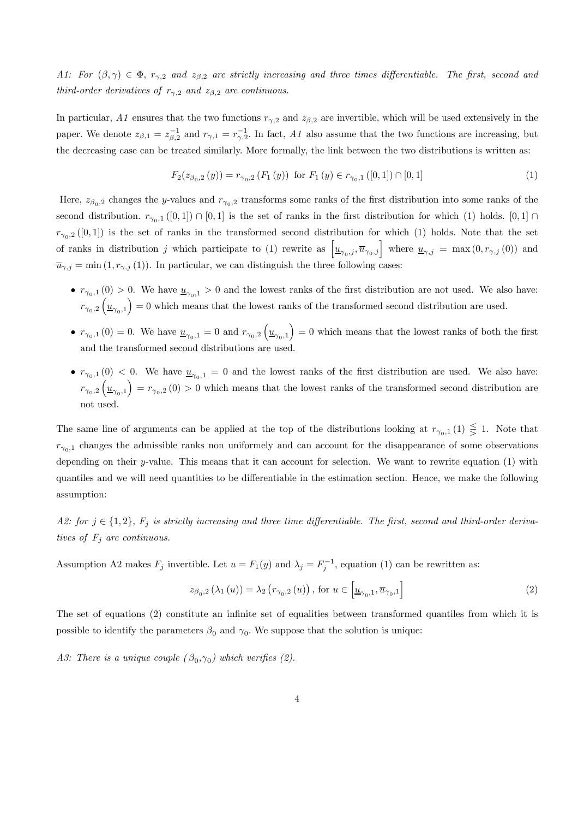A1: For  $(\beta, \gamma) \in \Phi$ ,  $r_{\gamma,2}$  and  $z_{\beta,2}$  are strictly increasing and three times differentiable. The first, second and third-order derivatives of  $r_{\gamma,2}$  and  $z_{\beta,2}$  are continuous.

In particular, A1 ensures that the two functions  $r_{\gamma,2}$  and  $z_{\beta,2}$  are invertible, which will be used extensively in the paper. We denote  $z_{\beta,1} = z_{\beta,2}^{-1}$  and  $r_{\gamma,1} = r_{\gamma,2}^{-1}$ . In fact, A1 also assume that the two functions are increasing, but the decreasing case can be treated similarly. More formally, the link between the two distributions is written as:

$$
F_2(z_{\beta_0,2}(y)) = r_{\gamma_0,2}(F_1(y)) \text{ for } F_1(y) \in r_{\gamma_0,1}([0,1]) \cap [0,1]
$$
 (1)

Here,  $z_{\beta_0,2}$  changes the y-values and  $r_{\gamma_0,2}$  transforms some ranks of the first distribution into some ranks of the second distribution.  $r_{\gamma_0,1}([0,1]) \cap [0,1]$  is the set of ranks in the first distribution for which (1) holds. [0, 1] ∩  $r_{\gamma_0,2}([0,1])$  is the set of ranks in the transformed second distribution for which (1) holds. Note that the set of ranks in distribution j which participate to (1) rewrite as  $\left[\underline{u}_{\gamma_0,j},\overline{u}_{\gamma_0,j}\right]$  where  $\underline{u}_{\gamma,j} = \max(0,r_{\gamma,j}(0))$  and  $\overline{u}_{\gamma,j} = \min(1, r_{\gamma,j}(1)).$  In particular, we can distinguish the three following cases:

- $r_{\gamma_0,1}$  (0) > 0. We have  $u_{\gamma_0,1} > 0$  and the lowest ranks of the first distribution are not used. We also have:  $r_{\gamma_0,2}\left(\underline{u}_{\gamma_0,1}\right)=0$  which means that the lowest ranks of the transformed second distribution are used.
- $r_{\gamma_0,1}(0) = 0$ . We have  $\underline{u}_{\gamma_0,1} = 0$  and  $r_{\gamma_0,2}(\underline{u}_{\gamma_0,1}) = 0$  which means that the lowest ranks of both the first and the transformed second distributions are used.
- $r_{\gamma_0,1}$  (0) < 0. We have  $u_{\gamma_0,1} = 0$  and the lowest ranks of the first distribution are used. We also have:  $r_{\gamma_0,2}\left(\underline{u}_{\gamma_0,1}\right)=r_{\gamma_0,2}(0)>0$  which means that the lowest ranks of the transformed second distribution are not used.

The same line of arguments can be applied at the top of the distributions looking at  $r_{\gamma_0,1} (1) \leq 1$ . Note that  $r_{\gamma_0,1}$  changes the admissible ranks non uniformely and can account for the disappearance of some observations depending on their y-value. This means that it can account for selection. We want to rewrite equation (1) with quantiles and we will need quantities to be differentiable in the estimation section. Hence, we make the following assumption:

A2: for  $j \in \{1,2\}$ ,  $F_j$  is strictly increasing and three time differentiable. The first, second and third-order derivatives of  $F_i$  are continuous.

Assumption A2 makes  $F_j$  invertible. Let  $u = F_1(y)$  and  $\lambda_j = F_j^{-1}$ , equation (1) can be rewritten as:

$$
z_{\beta_0,2}(\lambda_1(u)) = \lambda_2(r_{\gamma_0,2}(u)), \text{ for } u \in \left[\underline{u}_{\gamma_0,1}, \overline{u}_{\gamma_0,1}\right]
$$
 (2)

The set of equations (2) constitute an infinite set of equalities between transformed quantiles from which it is possible to identify the parameters  $\beta_0$  and  $\gamma_0$ . We suppose that the solution is unique:

A3: There is a unique couple  $(\beta_0, \gamma_0)$  which verifies (2).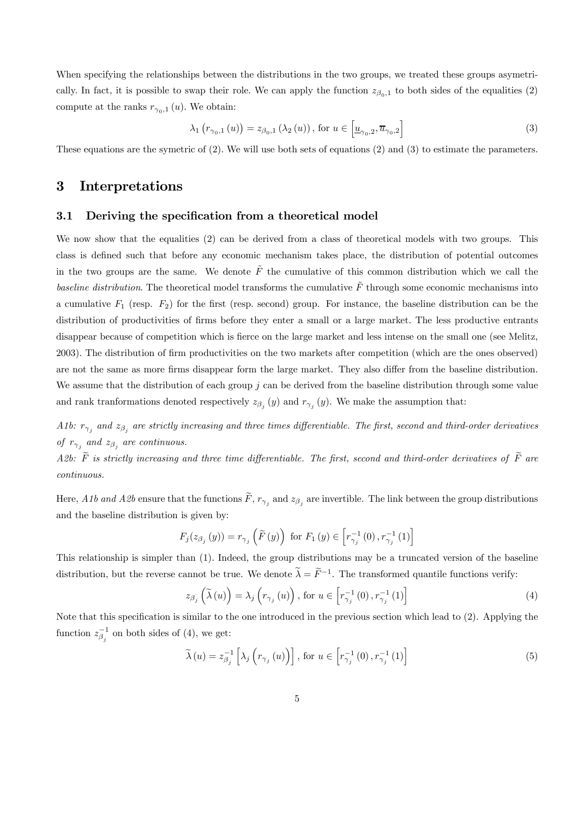When specifying the relationships between the distributions in the two groups, we treated these groups asymetrically. In fact, it is possible to swap their role. We can apply the function  $z_{\beta_0,1}$  to both sides of the equalities (2) compute at the ranks  $r_{\gamma_0,1}(u)$ . We obtain:

$$
\lambda_{1}\left(r_{\gamma_{0},1}\left(u\right)\right) = z_{\beta_{0},1}\left(\lambda_{2}\left(u\right)\right), \text{ for } u \in \left[\underline{u}_{\gamma_{0},2}, \overline{u}_{\gamma_{0},2}\right] \tag{3}
$$

These equations are the symetric of (2). We will use both sets of equations (2) and (3) to estimate the parameters.

# 3 Interpretations

#### 3.1 Deriving the specification from a theoretical model

We now show that the equalities (2) can be derived from a class of theoretical models with two groups. This class is defined such that before any economic mechanism takes place, the distribution of potential outcomes in the two groups are the same. We denote  $\tilde{F}$  the cumulative of this common distribution which we call the baseline distribution. The theoretical model transforms the cumulative  $\tilde{F}$  through some economic mechanisms into a cumulative  $F_1$  (resp.  $F_2$ ) for the first (resp. second) group. For instance, the baseline distribution can be the distribution of productivities of firms before they enter a small or a large market. The less productive entrants disappear because of competition which is fierce on the large market and less intense on the small one (see Melitz, 2003). The distribution of firm productivities on the two markets after competition (which are the ones observed) are not the same as more firms disappear form the large market. They also differ from the baseline distribution. We assume that the distribution of each group  $j$  can be derived from the baseline distribution through some value and rank tranformations denoted respectively  $z_{\beta_i}(y)$  and  $r_{\gamma_i}(y)$ . We make the assumption that:

A1b:  $r_{\gamma_i}$  and  $z_{\beta_i}$  are strictly increasing and three times differentiable. The first, second and third-order derivatives of  $r_{\gamma_i}$  and  $z_{\beta_i}$  are continuous.

A2b:  $\tilde{F}$  is strictly increasing and three time differentiable. The first, second and third-order derivatives of  $\tilde{F}$  are continuous.

Here, A1b and A2b ensure that the functions  $\tilde{F}$ ,  $r_{\gamma_j}$  and  $z_{\beta_j}$  are invertible. The link between the group distributions and the baseline distribution is given by:

$$
F_{j}(z_{\beta_{j}}(y)) = r_{\gamma_{j}}\left(\widetilde{F}(y)\right) \text{ for } F_{1}(y) \in \left[r_{\gamma_{j}}^{-1}(0), r_{\gamma_{j}}^{-1}(1)\right]
$$

This relationship is simpler than (1). Indeed, the group distributions may be a truncated version of the baseline distribution, but the reverse cannot be true. We denote  $\widetilde{\lambda} = \widetilde{F}^{-1}$ . The transformed quantile functions verify:

$$
z_{\beta_j}\left(\tilde{\lambda}(u)\right) = \lambda_j\left(r_{\gamma_j}(u)\right), \text{ for } u \in \left[r_{\gamma_j}^{-1}(0), r_{\gamma_j}^{-1}(1)\right] \tag{4}
$$

Note that this specification is similar to the one introduced in the previous section which lead to (2). Applying the function  $z_{\beta_j}^{-1}$  on both sides of (4), we get:

$$
\widetilde{\lambda}(u) = z_{\beta_j}^{-1} \left[ \lambda_j \left( r_{\gamma_j}(u) \right) \right], \text{ for } u \in \left[ r_{\gamma_j}^{-1}(0), r_{\gamma_j}^{-1}(1) \right] \tag{5}
$$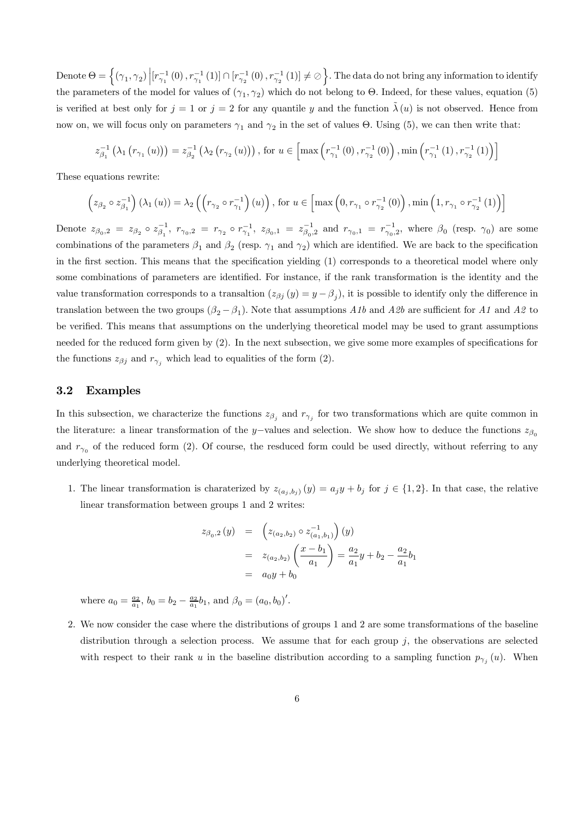Denote  $\Theta = \left\{ (\gamma_1, \gamma_2) \Big| [r_{\gamma_1}^{-1}(0), r_{\gamma_1}^{-1}(1)] \cap [r_{\gamma_2}^{-1}(0), r_{\gamma_2}^{-1}(1)] \neq \emptyset \right\}$ . The data do not bring any information to identify the parameters of the model for values of  $(\gamma_1, \gamma_2)$  which do not belong to Θ. Indeed, for these values, equation (5) is verified at best only for  $j = 1$  or  $j = 2$  for any quantile y and the function  $\lambda(u)$  is not observed. Hence from now on, we will focus only on parameters  $\gamma_1$  and  $\gamma_2$  in the set of values  $\Theta$ . Using (5), we can then write that:

$$
z_{\beta_1}^{-1}(\lambda_1(r_{\gamma_1}(u))) = z_{\beta_2}^{-1}(\lambda_2(r_{\gamma_2}(u))), \text{ for } u \in \left[\max\left(r_{\gamma_1}^{-1}(0), r_{\gamma_2}^{-1}(0)\right), \min\left(r_{\gamma_1}^{-1}(1), r_{\gamma_2}^{-1}(1)\right)\right]
$$

These equations rewrite:

$$
\left(z_{\beta_2} \circ z_{\beta_1}^{-1}\right)(\lambda_1(u)) = \lambda_2\left(\left(r_{\gamma_2} \circ r_{\gamma_1}^{-1}\right)(u)\right), \text{ for } u \in \left[\max\left(0, r_{\gamma_1} \circ r_{\gamma_2}^{-1}(0)\right), \min\left(1, r_{\gamma_1} \circ r_{\gamma_2}^{-1}(1)\right)\right]
$$

Denote  $z_{\beta_0,2} = z_{\beta_2} \circ z_{\beta_1}^{-1}$ ,  $r_{\gamma_0,2} = r_{\gamma_2} \circ r_{\gamma_1}^{-1}$ ,  $z_{\beta_0,1} = z_{\beta_0,2}^{-1}$  and  $r_{\gamma_0,1} = r_{\gamma_0,2}^{-1}$ , where  $\beta_0$  (resp.  $\gamma_0$ ) are some combinations of the parameters  $\beta_1$  and  $\beta_2$  (resp.  $\gamma_1$  and  $\gamma_2$ ) which are identified. We are back to the specification in the first section. This means that the specification yielding (1) corresponds to a theoretical model where only some combinations of parameters are identified. For instance, if the rank transformation is the identity and the value transformation corresponds to a transaltion  $(z_{\beta i} (y) = y - \beta_i)$ , it is possible to identify only the difference in translation between the two groups  $(\beta_2 - \beta_1)$ . Note that assumptions A1b and A2b are sufficient for A1 and A2 to be verified. This means that assumptions on the underlying theoretical model may be used to grant assumptions needed for the reduced form given by (2). In the next subsection, we give some more examples of specifications for the functions  $z_{\beta j}$  and  $r_{\gamma i}$  which lead to equalities of the form (2).

#### 3.2 Examples

In this subsection, we characterize the functions  $z_{\beta_i}$  and  $r_{\gamma_i}$  for two transformations which are quite common in the literature: a linear transformation of the y–values and selection. We show how to deduce the functions  $z_{\beta_0}$ and  $r_{\gamma_0}$  of the reduced form (2). Of course, the resduced form could be used directly, without referring to any underlying theoretical model.

1. The linear transformation is charaterized by  $z_{(a_i,b_i)}(y) = a_jy + b_j$  for  $j \in \{1,2\}$ . In that case, the relative linear transformation between groups 1 and 2 writes:

$$
z_{\beta_0,2}(y) = \left(z_{(a_2,b_2)} \circ z_{(a_1,b_1)}^{-1}\right)(y)
$$
  
=  $z_{(a_2,b_2)}\left(\frac{x-b_1}{a_1}\right) = \frac{a_2}{a_1}y + b_2 - \frac{a_2}{a_1}b_1$   
=  $a_0y + b_0$ 

where  $a_0 = \frac{a_2}{a_1}$ ,  $b_0 = b_2 - \frac{a_2}{a_1}b_1$ , and  $\beta_0 = (a_0, b_0)'$ .

2. We now consider the case where the distributions of groups 1 and 2 are some transformations of the baseline distribution through a selection process. We assume that for each group  $j$ , the observations are selected with respect to their rank u in the baseline distribution according to a sampling function  $p_{\gamma_i}(u)$ . When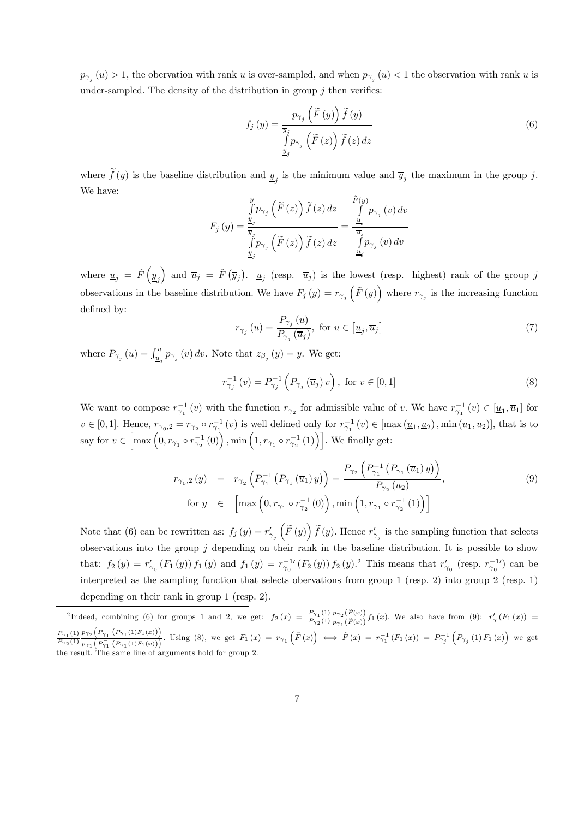$p_{\gamma_i}(u) > 1$ , the obervation with rank u is over-sampled, and when  $p_{\gamma_i}(u) < 1$  the observation with rank u is under-sampled. The density of the distribution in group  $j$  then verifies:

$$
f_j(y) = \frac{p_{\gamma_j}(\tilde{F}(y))\tilde{f}(y)}{\int_{\tilde{y}_j} p_{\gamma_j}(\tilde{F}(z))\tilde{f}(z) dz}
$$
\n(6)

where  $f(y)$  is the baseline distribution and  $\underline{y}_j$  is the minimum value and  $\overline{y}_j$  the maximum in the group j. We have:

$$
F_j(y) = \frac{\int_{y_j}^{y} p_{\gamma_j}(\widetilde{F}(z)) \widetilde{f}(z) dz}{\int_{y_j}^{y} p_{\gamma_j}(\widetilde{F}(z)) \widetilde{f}(z) dz} = \frac{\frac{\widetilde{F}(y)}{\mathcal{I}_{y_j}}}{\frac{\mathcal{I}_{y_j}}{\mathcal{I}_{y_j}}(v) dv}.
$$

where  $\underline{u}_j = \tilde{F}(\underline{y}_j)$  and  $\overline{u}_j = \tilde{F}(\overline{y}_j)$ .  $\underline{u}_j$  (resp.  $\overline{u}_j$ ) is the lowest (resp. highest) rank of the group j observations in the baseline distribution. We have  $F_j(y) = r_{\gamma_j}(\tilde{F}(y))$  where  $r_{\gamma_j}$  is the increasing function defined by:

$$
r_{\gamma_j}(u) = \frac{P_{\gamma_j}(u)}{P_{\gamma_j}(\overline{u}_j)}, \text{ for } u \in [\underline{u}_j, \overline{u}_j]
$$
\n
$$
(7)
$$

where  $P_{\gamma_j}(u) = \int_{\underline{u}_j}^u p_{\gamma_j}(v) dv$ . Note that  $z_{\beta_j}(y) = y$ . We get:

$$
r_{\gamma_j}^{-1}(v) = P_{\gamma_j}^{-1}\left(P_{\gamma_j}\left(\overline{u}_j\right)v\right), \text{ for } v \in [0,1]
$$
\n
$$
(8)
$$

We want to compose  $r_{\gamma_1}^{-1}(v)$  with the function  $r_{\gamma_2}$  for admissible value of v. We have  $r_{\gamma_1}^{-1}(v) \in [\underline{u}_1, \overline{u}_1]$  for  $v \in [0,1]$ . Hence,  $r_{\gamma_0,2} = r_{\gamma_2} \circ r_{\gamma_1}^{-1}(v)$  is well defined only for  $r_{\gamma_1}^{-1}(v) \in [\max(\underline{u}_1, \underline{u}_2), \min(\overline{u}_1, \overline{u}_2)]$ , that is to say for  $v \in \left[\max\left(0, r_{\gamma_1} \circ r_{\gamma_2}^{-1}(0)\right), \min\left(1, r_{\gamma_1} \circ r_{\gamma_2}^{-1}(1)\right)\right]$ . We finally get:

$$
r_{\gamma_0,2}(y) = r_{\gamma_2} \left( P_{\gamma_1}^{-1} \left( P_{\gamma_1} \left( \overline{u}_1 \right) y \right) \right) = \frac{P_{\gamma_2} \left( P_{\gamma_1}^{-1} \left( P_{\gamma_1} \left( \overline{u}_1 \right) y \right) \right)}{P_{\gamma_2} \left( \overline{u}_2 \right)},
$$
\nfor  $y \in \left[ \max \left( 0, r_{\gamma_1} \circ r_{\gamma_2}^{-1} \left( 0 \right) \right), \min \left( 1, r_{\gamma_1} \circ r_{\gamma_2}^{-1} \left( 1 \right) \right) \right]$ 

\n(9)

Note that (6) can be rewritten as:  $f_j(y) = r'_{\gamma_j}$  $\left(\widetilde{F}\left(y\right)\right)\widetilde{f}\left(y\right)$ . Hence  $r'_{\gamma_j}$  is the sampling function that selects observations into the group  $j$  depending on their rank in the baseline distribution. It is possible to show that:  $f_2(y) = r'_{\gamma_0}(F_1(y)) f_1(y)$  and  $f_1(y) = r_{\gamma_0}^{-1}(F_2(y)) f_2(y)$ . This means that  $r'_{\gamma_0}$  (resp.  $r_{\gamma_0}^{-1}$ ) can be interpreted as the sampling function that selects obervations from group 1 (resp. 2) into group 2 (resp. 1) depending on their rank in group 1 (resp. 2).

<sup>&</sup>lt;sup>2</sup>Indeed, combining (6) for groups 1 and 2, we get:  $f_2(x) = \frac{P_{\gamma_1}(1)}{P_{\gamma_2}(1)}$  $p_{\gamma}{}_{2}\bigl(\widetilde{F}(x)\bigr)$  $\frac{p_{\gamma_2}(\Gamma(x))}{p_{\gamma_1}(\tilde{F}(x))}f_1(x)$ . We also have from (9):  $r'_{\gamma}(F_1(x)) =$  $P_{\gamma_1}(1)$  $P_{\gamma_2}(1)$  $p_{\gamma_2}\left(P_{\gamma_1}^{-1}\left(P_{\gamma_1}(1)F_1(x)\right)\right)$  $\frac{p_{\gamma_2} (P_{\gamma_1}^{-1}(P_{\gamma_1}(1)F_1(x)))}{p_{\gamma_1} (P_{\gamma_1}^{-1}(P_{\gamma_1}(1)F_1(x)))}$ . Using (8), we get  $F_1(x) = r_{\gamma_1} (\tilde{F}(x)) \iff \tilde{F}(x) = r_{\gamma_1}^{-1} (F_1(x)) = P_{\gamma_j}^{-1} (P_{\gamma_j}(1)F_1(x))$  we get the result. The same line of arguments hold for group 2.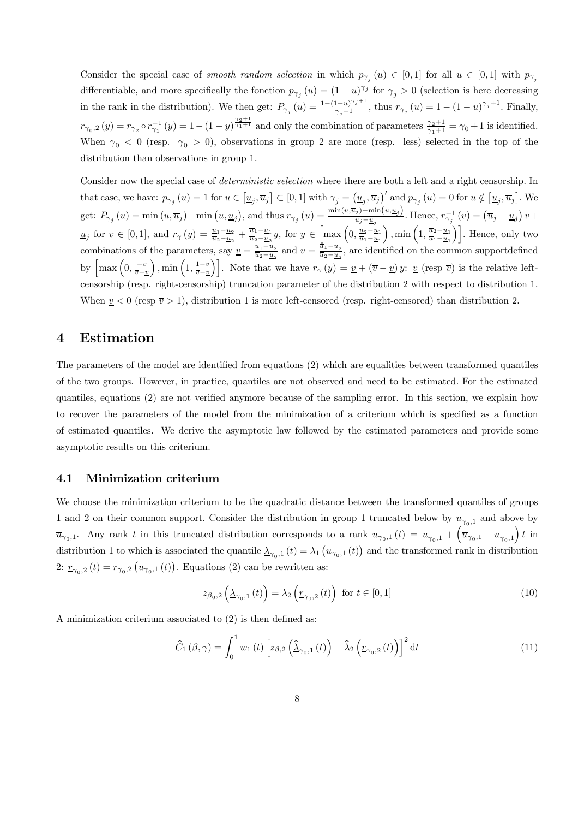Consider the special case of smooth random selection in which  $p_{\gamma_i}(u) \in [0,1]$  for all  $u \in [0,1]$  with  $p_{\gamma_i}$ differentiable, and more specifically the fonction  $p_{\gamma_j}(u) = (1-u)^{\gamma_j}$  for  $\gamma_j > 0$  (selection is here decreasing in the rank in the distribution). We then get:  $P_{\gamma_j}(u) = \frac{1 - (1 - u)^{\gamma_j + 1}}{\gamma_j + 1}$ , thus  $r_{\gamma_j}(u) = 1 - (1 - u)^{\gamma_j + 1}$ . Finally,  $r_{\gamma_0,2}(y) = r_{\gamma_2} \circ r_{\gamma_1}^{-1}(y) = 1 - (1-y)^{\frac{\gamma_2+1}{\gamma_1+1}}$  and only the combination of parameters  $\frac{\gamma_2+1}{\gamma_1+1} = \gamma_0+1$  is identified. When  $\gamma_0$  < 0 (resp.  $\gamma_0$  > 0), observations in group 2 are more (resp. less) selected in the top of the distribution than observations in group 1.

Consider now the special case of *deterministic selection* where there are both a left and a right censorship. In that case, we have:  $p_{\gamma_j}(u) = 1$  for  $u \in [\underline{u}_j, \overline{u}_j] \subset [0, 1]$  with  $\gamma_j = (\underline{u}_j, \overline{u}_j)'$  and  $p_{\gamma_j}(u) = 0$  for  $u \notin [\underline{u}_j, \overline{u}_j]$ . We get:  $P_{\gamma_j}(u) = \min(u, \overline{u}_j) - \min(u, \underline{u}_j)$ , and thus  $r_{\gamma_j}(u) = \frac{\min(u, \overline{u}_j) - \min(u, \underline{u}_j)}{\overline{u}_j - \underline{u}_j}$ . Hence,  $r_{\gamma_j}^{-1}(v) = (\overline{u}_j - \underline{u}_j)v +$  $u<sub>j</sub>$  for  $v \in [0, 1]$ , and  $r_{\gamma}(y) = \frac{\underline{u}_1 - \underline{u}_2}{\overline{u}_2 - \underline{u}_2} + \frac{\overline{u}_1 - \underline{u}_1}{\overline{u}_2 - \underline{u}_2}y$ , for  $y \in \left[\max\left(0, \frac{\underline{u}_2 - \underline{u}_1}{\overline{u}_1 - \underline{u}_1}\right)\right]$ </u> ),  $\min\left(1, \frac{\overline{u}_2 - \underline{u}_1}{\overline{u}_1 - \underline{u}_1}\right)\right]$ . Hence, only two combinations of the parameters, say  $\underline{v} = \frac{\underline{u}_1 - \underline{u}_2}{\overline{u}_2 - \underline{u}_2}$  and  $\overline{v} = \frac{\overline{\overline{u}}_1 - \underline{u}_2}{\overline{u}_2 - \underline{u}_2}$ , are identified on the common support<br>defined by  $\left[\max\left(0, \frac{-v}{\overline{v}-v}\right)\right]$  $\left(1, \frac{1-y}{\overline{v}-\underline{v}}\right)$ . Note that we have  $r_{\gamma}(y) = \underline{v} + (\overline{v}-\underline{v})y$ :  $\underline{v}$  (resp  $\overline{v}$ ) is the relative leftcensorship (resp. right-censorship) truncation parameter of the distribution 2 with respect to distribution 1. When  $v < 0$  (resp  $\overline{v} > 1$ ), distribution 1 is more left-censored (resp. right-censored) than distribution 2.

# 4 Estimation

The parameters of the model are identified from equations (2) which are equalities between transformed quantiles of the two groups. However, in practice, quantiles are not observed and need to be estimated. For the estimated quantiles, equations (2) are not verified anymore because of the sampling error. In this section, we explain how to recover the parameters of the model from the minimization of a criterium which is specified as a function of estimated quantiles. We derive the asymptotic law followed by the estimated parameters and provide some asymptotic results on this criterium.

#### 4.1 Minimization criterium

We choose the minimization criterium to be the quadratic distance between the transformed quantiles of groups 1 and 2 on their common support. Consider the distribution in group 1 truncated below by  $\underline{u}_{\gamma_0,1}$  and above by  $\overline{u}_{\gamma_0,1}$ . Any rank t in this truncated distribution corresponds to a rank  $u_{\gamma_0,1}(t) = \underline{u}_{\gamma_0,1} + \left(\overline{\overline{u}}_{\gamma_0,1} - \underline{u}_{\gamma_0,1}\right)t$  in distribution 1 to which is associated the quantile  $\Delta_{\gamma_0,1}(t) = \lambda_1(u_{\gamma_0,1}(t))$  and the transformed rank in distribution 2:  $r_{\gamma_0,2}(t) = r_{\gamma_0,2}(u_{\gamma_0,1}(t))$ . Equations (2) can be rewritten as:

$$
z_{\beta_0,2}\left(\underline{\lambda}_{\gamma_0,1}\left(t\right)\right) = \lambda_2\left(\underline{r}_{\gamma_0,2}\left(t\right)\right) \text{ for } t \in [0,1] \tag{10}
$$

A minimization criterium associated to (2) is then defined as:

$$
\widehat{C}_{1}(\beta,\gamma) = \int_{0}^{1} w_{1}(t) \left[ z_{\beta,2} \left( \widehat{\Delta}_{\gamma_{0},1}(t) \right) - \widehat{\lambda}_{2} \left( \underline{r}_{\gamma_{0},2}(t) \right) \right]^{2} dt \qquad (11)
$$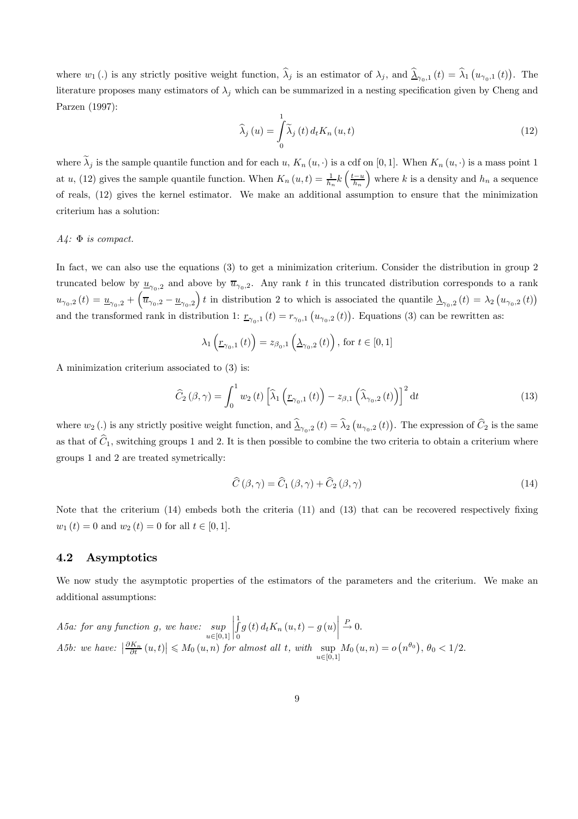where  $w_1(.)$  is any strictly positive weight function,  $\hat{\lambda}_j$  is an estimator of  $\lambda_j$ , and  $\hat{\lambda}_{\gamma_0,1}(t) = \hat{\lambda}_1(u_{\gamma_0,1}(t))$ . The literature proposes many estimators of  $\lambda_j$  which can be summarized in a nesting specification given by Cheng and Parzen (1997):

$$
\widehat{\lambda}_{j}\left(u\right) = \int_{0}^{1} \widetilde{\lambda}_{j}\left(t\right) d_{t} K_{n}\left(u,t\right)
$$
\n(12)

where  $\tilde{\lambda}_j$  is the sample quantile function and for each u,  $K_n(u, \cdot)$  is a cdf on [0, 1]. When  $K_n(u, \cdot)$  is a mass point 1 at u, (12) gives the sample quantile function. When  $K_n(u,t) = \frac{1}{h_n} k \left( \frac{t-u}{h_n} \right)$ ) where k is a density and  $h_n$  a sequence of reals, (12) gives the kernel estimator. We make an additional assumption to ensure that the minimization criterium has a solution:

#### $A4$ :  $\Phi$  is compact.

In fact, we can also use the equations (3) to get a minimization criterium. Consider the distribution in group 2 truncated below by  $\underline{u}_{\gamma_0,2}$  and above by  $\overline{u}_{\gamma_0,2}$ . Any rank t in this truncated distribution corresponds to a rank  $u_{\gamma_0,2}(t) = \underline{u}_{\gamma_0,2} + \left(\overline{u}_{\gamma_0,2} - \underline{u}_{\gamma_0,2}\right)t$  in distribution 2 to which is associated the quantile  $\Delta_{\gamma_0,2}(t) = \lambda_2\left(u_{\gamma_0,2}(t)\right)$ and the transformed rank in distribution 1:  $r_{\gamma_0,1}(t) = r_{\gamma_0,1}(u_{\gamma_0,2}(t))$ . Equations (3) can be rewritten as:

$$
\lambda_{1}\left(\underline{r}_{\gamma_{0},1}\left(t\right)\right)=z_{\beta_{0},1}\left(\underline{\lambda}_{\gamma_{0},2}\left(t\right)\right), \text{ for } t\in\left[0,1\right]
$$

A minimization criterium associated to (3) is:

$$
\widehat{C}_{2}(\beta,\gamma) = \int_{0}^{1} w_{2}(t) \left[ \widehat{\lambda}_{1} \left( \underline{r}_{\gamma_{0},1}(t) \right) - z_{\beta,1} \left( \widehat{\lambda}_{\gamma_{0},2}(t) \right) \right]^{2} dt \qquad (13)
$$

where  $w_2$  (.) is any strictly positive weight function, and  $\hat{\lambda}_{\gamma_0,2}(t) = \hat{\lambda}_2(u_{\gamma_0,2}(t))$ . The expression of  $\hat{C}_2$  is the same as that of  $\widehat{C}_1$ , switching groups 1 and 2. It is then possible to combine the two criteria to obtain a criterium where groups 1 and 2 are treated symetrically:

$$
\widehat{C}\left(\beta,\gamma\right) = \widehat{C}_{1}\left(\beta,\gamma\right) + \widehat{C}_{2}\left(\beta,\gamma\right) \tag{14}
$$

Note that the criterium (14) embeds both the criteria (11) and (13) that can be recovered respectively fixing  $w_1(t)=0$  and  $w_2(t)=0$  for all  $t \in [0, 1].$ 

#### 4.2 Asymptotics

We now study the asymptotic properties of the estimators of the parameters and the criterium. We make an additional assumptions:

A5a: for any function g, we have: 
$$
\sup_{u \in [0,1]} \left| \int_0^1 g(t) d_t K_n(u,t) - g(u) \right| \xrightarrow{P} 0.
$$
  
A5b: we have:  $\left| \frac{\partial K_n}{\partial t}(u,t) \right| \leq M_0(u,n)$  for almost all t, with  $\sup_{u \in [0,1]} M_0(u,n) = o(n^{\theta_0}), \theta_0 < 1/2.$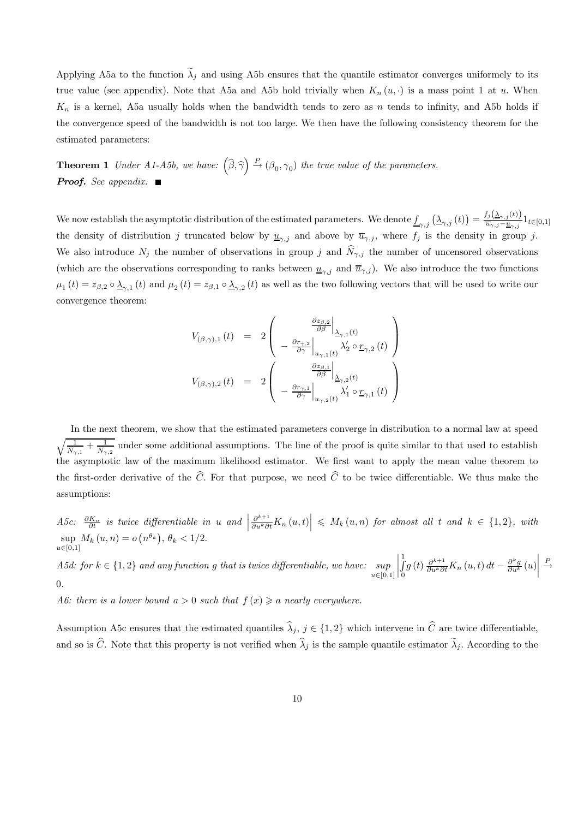Applying A5a to the function  $\tilde{\lambda}_j$  and using A5b ensures that the quantile estimator converges uniformely to its true value (see appendix). Note that A5a and A5b hold trivially when  $K_n(u, \cdot)$  is a mass point 1 at u. When  $K_n$  is a kernel, A5a usually holds when the bandwidth tends to zero as n tends to infinity, and A5b holds if the convergence speed of the bandwidth is not too large. We then have the following consistency theorem for the estimated parameters:

**Theorem 1** Under A1-A5b, we have:  $(\widehat{\beta}, \widehat{\gamma}) \stackrel{P}{\rightarrow} (\beta_0, \gamma_0)$  the true value of the parameters. **Proof.** See appendix. 1

We now establish the asymptotic distribution of the estimated parameters. We denote  $\underline{f}_{\gamma,j}\left(\underline{\lambda}_{\gamma,j}\left(t\right)\right)=\frac{f_j\left(\underline{\lambda}_{\gamma,j}\left(t\right)\right)}{\overline{u}_{\gamma,j}-\underline{u}_{\gamma,j}}1_{t\in[0,1]}$ the density of distribution j truncated below by  $\underline{u}_{\gamma,j}$  and above by  $\overline{u}_{\gamma,j}$ , where  $f_j$  is the density in group j. We also introduce  $N_j$  the number of observations in group j and  $\hat{N}_{\gamma,j}$  the number of uncensored observations (which are the observations corresponding to ranks between  $\underline{u}_{\gamma,i}$  and  $\overline{u}_{\gamma,j}$ ). We also introduce the two functions  $\mu_1(t) = z_{\beta,2} \circ \underline{\lambda}_{\gamma,1}(t)$  and  $\mu_2(t) = z_{\beta,1} \circ \underline{\lambda}_{\gamma,2}(t)$  as well as the two following vectors that will be used to write our convergence theorem:

$$
V_{(\beta,\gamma),1}(t) = 2\begin{pmatrix} \frac{\partial z_{\beta,2}}{\partial \beta}\Big|_{\Delta_{\gamma,1}(t)} \\ -\frac{\partial r_{\gamma,2}}{\partial \gamma}\Big|_{u_{\gamma,1}(t)} \lambda_2' \circ \underline{r}_{\gamma,2}(t) \end{pmatrix}
$$
  

$$
V_{(\beta,\gamma),2}(t) = 2\begin{pmatrix} \frac{\partial z_{\beta,1}}{\partial \beta}\Big|_{\Delta_{\gamma,2}(t)} \\ -\frac{\partial r_{\gamma,1}}{\partial \gamma}\Big|_{u_{\gamma,2}(t)} \lambda_1' \circ \underline{r}_{\gamma,1}(t) \end{pmatrix}
$$

In the next theorem, we show that the estimated parameters converge in distribution to a normal law at speed  $\sqrt{1}$  $\frac{1}{\hat{N}_{\gamma,1}} + \frac{1}{\hat{N}_{\gamma,2}}$  under some additional assumptions. The line of the proof is quite similar to that used to establish the asymptotic law of the maximum likelihood estimator. We first want to apply the mean value theorem to the first-order derivative of the  $\hat{C}$ . For that purpose, we need  $\hat{C}$  to be twice differentiable. We thus make the assumptions:

A5c:  $\frac{\partial K_n}{\partial t}$  is twice differentiable in u and  $\Big|$  $\left|\frac{\partial^{k+1}}{\partial u^k \partial t} K_n(u,t)\right| \leqslant M_k(u,n)$  for almost all t and  $k \in \{1,2\}$ , with sup  $M_k(u, n) = o(n^{\theta_k}), \theta_k < 1/2.$  $u\in [0,1]$ 

A5d: for  $k \in \{1,2\}$  and any function g that is twice differentiable, we have: sup<br> $\begin{array}{l}\text{and} \\
\text{if} (0,1) \end{array}$ ¯ ¯ ¯ ¯  $\frac{1}{\sqrt{2}}$ 0  $g(t) \frac{\partial^{k+1}}{\partial u^k \partial t} K_n(u, t) dt - \frac{\partial^k g}{\partial u^k}(u)$ ¯ ¯ ¯ ¯  $\stackrel{P}{\rightarrow}$ 0.

A6: there is a lower bound  $a > 0$  such that  $f(x) \geq a$  nearly everywhere.

Assumption A5c ensures that the estimated quantiles  $\hat{\lambda}_j$ ,  $j \in \{1, 2\}$  which intervene in  $\hat{C}$  are twice differentiable, and so is  $\widehat{C}$ . Note that this property is not verified when  $\widehat{\lambda}_j$  is the sample quantile estimator  $\widetilde{\lambda}_j$ . According to the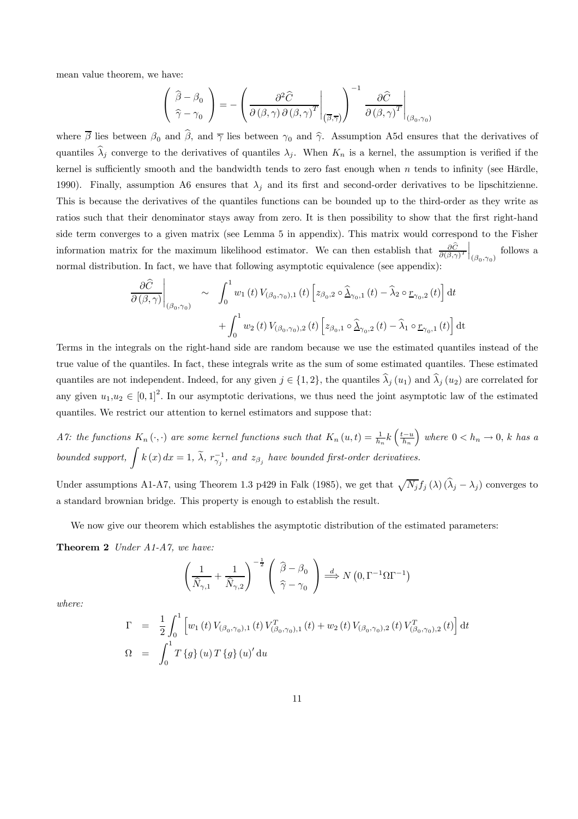mean value theorem, we have:

$$
\left(\begin{array}{c}\n\widehat{\beta} - \beta_0 \\
\widehat{\gamma} - \gamma_0\n\end{array}\right) = -\left(\frac{\partial^2 \widehat{C}}{\partial (\beta, \gamma) \partial (\beta, \gamma)^T}\bigg|_{(\overline{\beta}, \overline{\gamma})}\right)^{-1} \frac{\partial \widehat{C}}{\partial (\beta, \gamma)^T}\bigg|_{(\beta_0, \gamma_0)}
$$

where  $\overline{\beta}$  lies between  $\beta_0$  and  $\hat{\beta}$ , and  $\overline{\gamma}$  lies between  $\gamma_0$  and  $\hat{\gamma}$ . Assumption A5d ensures that the derivatives of quantiles  $\hat{\lambda}_j$  converge to the derivatives of quantiles  $\lambda_j$ . When  $K_n$  is a kernel, the assumption is verified if the kernel is sufficiently smooth and the bandwidth tends to zero fast enough when  $n$  tends to infinity (see Härdle, 1990). Finally, assumption A6 ensures that  $\lambda_j$  and its first and second-order derivatives to be lipschitzienne. This is because the derivatives of the quantiles functions can be bounded up to the third-order as they write as ratios such that their denominator stays away from zero. It is then possibility to show that the first right-hand side term converges to a given matrix (see Lemma 5 in appendix). This matrix would correspond to the Fisher information matrix for the maximum likelihood estimator. We can then establish that  $\frac{\partial C}{\partial(\beta,\gamma)}$ T  $\Big|_{(\beta_0,\gamma_0)}$  follows a normal distribution. In fact, we have that following asymptotic equivalence (see appendix):

$$
\frac{\partial \widehat{C}}{\partial(\beta,\gamma)}\Big|_{(\beta_0,\gamma_0)} \sim \int_0^1 w_1(t) V_{(\beta_0,\gamma_0),1}(t) \left[ z_{\beta_0,2} \circ \widehat{\Delta}_{\gamma_0,1}(t) - \widehat{\lambda}_2 \circ \underline{r}_{\gamma_0,2}(t) \right] dt + \int_0^1 w_2(t) V_{(\beta_0,\gamma_0),2}(t) \left[ z_{\beta_0,1} \circ \widehat{\Delta}_{\gamma_0,2}(t) - \widehat{\lambda}_1 \circ \underline{r}_{\gamma_0,1}(t) \right] dt
$$

Terms in the integrals on the right-hand side are random because we use the estimated quantiles instead of the true value of the quantiles. In fact, these integrals write as the sum of some estimated quantiles. These estimated quantiles are not independent. Indeed, for any given  $j \in \{1,2\}$ , the quantiles  $\hat{\lambda}_j (u_1)$  and  $\hat{\lambda}_j (u_2)$  are correlated for any given  $u_1, u_2 \in [0, 1]^2$ . In our asymptotic derivations, we thus need the joint asymptotic law of the estimated quantiles. We restrict our attention to kernel estimators and suppose that:

A7: the functions  $K_n(\cdot, \cdot)$  are some kernel functions such that  $K_n(u,t) = \frac{1}{h_n} k \left( \frac{t-u}{h_n} \right)$ ) where  $0 < h_n \to 0$ , k has a bounded support,  $\int k(x) dx = 1$ ,  $\tilde{\lambda}$ ,  $r_{\gamma_j}^{-1}$ , and  $z_{\beta_j}$  have bounded first-order derivatives.

Under assumptions A1-A7, using Theorem 1.3 p429 in Falk (1985), we get that  $\sqrt{N_j}f_j(\lambda) (\hat{\lambda}_j - \lambda_j)$  converges to a standard brownian bridge. This property is enough to establish the result.

We now give our theorem which establishes the asymptotic distribution of the estimated parameters:

Theorem 2 Under A1-A7, we have:

$$
\left(\frac{1}{\widehat{N}_{\gamma,1}} + \frac{1}{\widehat{N}_{\gamma,2}}\right)^{-\frac{1}{2}} \left(\begin{array}{c} \widehat{\beta} - \beta_0 \\ \widehat{\gamma} - \gamma_0 \end{array}\right) \stackrel{d}{\Longrightarrow} N\left(0, \Gamma^{-1} \Omega \Gamma^{-1}\right)
$$

where:

$$
\Gamma = \frac{1}{2} \int_0^1 \left[ w_1(t) V_{(\beta_0, \gamma_0), 1}(t) V_{(\beta_0, \gamma_0), 1}^T(t) + w_2(t) V_{(\beta_0, \gamma_0), 2}(t) V_{(\beta_0, \gamma_0), 2}^T(t) \right] dt
$$
  
\n
$$
\Omega = \int_0^1 T \left\{ g \right\}(u) T \left\{ g \right\}(u)' du
$$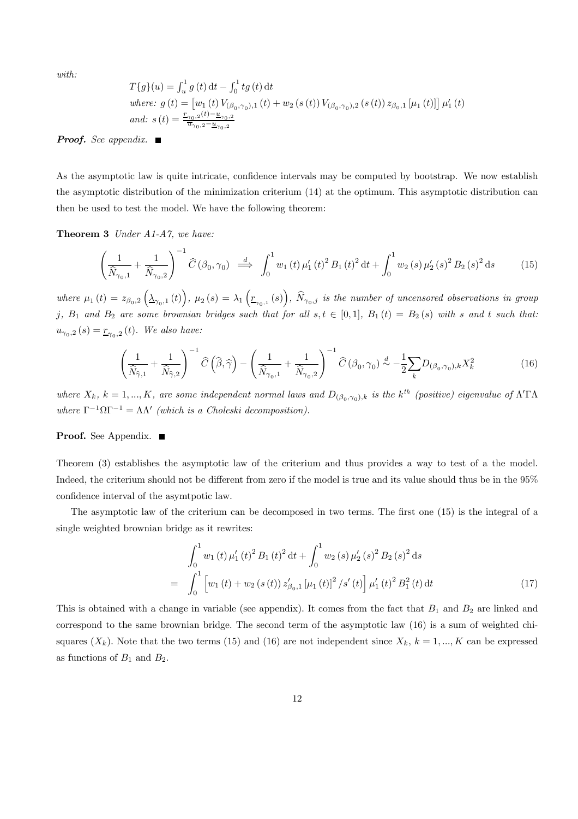with:

$$
T\{g\}(u) = \int_{u}^{1} g(t) dt - \int_{0}^{1} tg(t) dt
$$
  
where:  $g(t) = [w_1(t) V_{(\beta_0, \gamma_0),1}(t) + w_2(s(t)) V_{(\beta_0, \gamma_0),2}(s(t)) z_{\beta_0,1} [\mu_1(t)]] \mu'_1(t)$   
and:  $s(t) = \frac{r_{\gamma_0,2}(t) - u_{\gamma_0,2}}{\overline{u}_{\gamma_0,2} - u_{\gamma_0,2}}$ 

**Proof.** See appendix.  $\blacksquare$ 

As the asymptotic law is quite intricate, confidence intervals may be computed by bootstrap. We now establish the asymptotic distribution of the minimization criterium (14) at the optimum. This asymptotic distribution can then be used to test the model. We have the following theorem:

Theorem 3 Under A1-A7, we have:

$$
\left(\frac{1}{\hat{N}_{\gamma_0,1}} + \frac{1}{\hat{N}_{\gamma_0,2}}\right)^{-1} \hat{C}\left(\beta_0, \gamma_0\right) \stackrel{d}{\implies} \int_0^1 w_1\left(t\right) \mu_1'\left(t\right)^2 B_1\left(t\right)^2 \mathrm{d}t + \int_0^1 w_2\left(s\right) \mu_2'\left(s\right)^2 B_2\left(s\right)^2 \mathrm{d}s \tag{15}
$$

where  $\mu_1(t) = z_{\beta_0,2} \left( \Delta_{\gamma_0,1}(t) \right)$ ,  $\mu_2(s) = \lambda_1 \left( \underline{r}_{\gamma_0,1}(s) \right)$ ,  $\widehat{N}_{\gamma_0,j}$  is the number of uncensored observations in group j,  $B_1$  and  $B_2$  are some brownian bridges such that for all  $s, t \in [0,1]$ ,  $B_1(t) = B_2(s)$  with s and t such that:  $u_{\gamma_0,2}(s) = \underline{r}_{\gamma_0,2}(t)$ . We also have:

$$
\left(\frac{1}{\widehat{N}_{\widehat{\gamma},1}} + \frac{1}{\widehat{N}_{\widehat{\gamma},2}}\right)^{-1} \widehat{C}\left(\widehat{\beta},\widehat{\gamma}\right) - \left(\frac{1}{\widehat{N}_{\gamma_0,1}} + \frac{1}{\widehat{N}_{\gamma_0,2}}\right)^{-1} \widehat{C}\left(\beta_0,\gamma_0\right) \stackrel{d}{\sim} -\frac{1}{2} \sum_{k} D_{\left(\beta_0,\gamma_0\right),k} X_k^2 \tag{16}
$$

where  $X_k$ ,  $k = 1,...,K$ , are some independent normal laws and  $D_{(\beta_0,\gamma_0),k}$  is the k<sup>th</sup> (positive) eigenvalue of  $\Lambda'\Gamma\Lambda$ where  $\Gamma^{-1}\Omega\Gamma^{-1} = \Lambda\Lambda'$  (which is a Choleski decomposition).

#### Proof. See Appendix. ■

=

Theorem (3) establishes the asymptotic law of the criterium and thus provides a way to test of a the model. Indeed, the criterium should not be different from zero if the model is true and its value should thus be in the 95% confidence interval of the asymtpotic law.

The asymptotic law of the criterium can be decomposed in two terms. The first one (15) is the integral of a single weighted brownian bridge as it rewrites:

$$
\int_0^1 w_1(t) \,\mu'_1(t)^2 B_1(t)^2 dt + \int_0^1 w_2(s) \,\mu'_2(s)^2 B_2(s)^2 ds
$$
  
= 
$$
\int_0^1 \left[ w_1(t) + w_2(s(t)) z'_{\beta_0,1} [\mu_1(t)]^2 / s'(t) \right] \mu'_1(t)^2 B_1^2(t) dt
$$
 (17)

This is obtained with a change in variable (see appendix). It comes from the fact that  $B_1$  and  $B_2$  are linked and correspond to the same brownian bridge. The second term of the asymptotic law (16) is a sum of weighted chisquares  $(X_k)$ . Note that the two terms (15) and (16) are not independent since  $X_k$ ,  $k = 1, ..., K$  can be expressed as functions of  $B_1$  and  $B_2$ .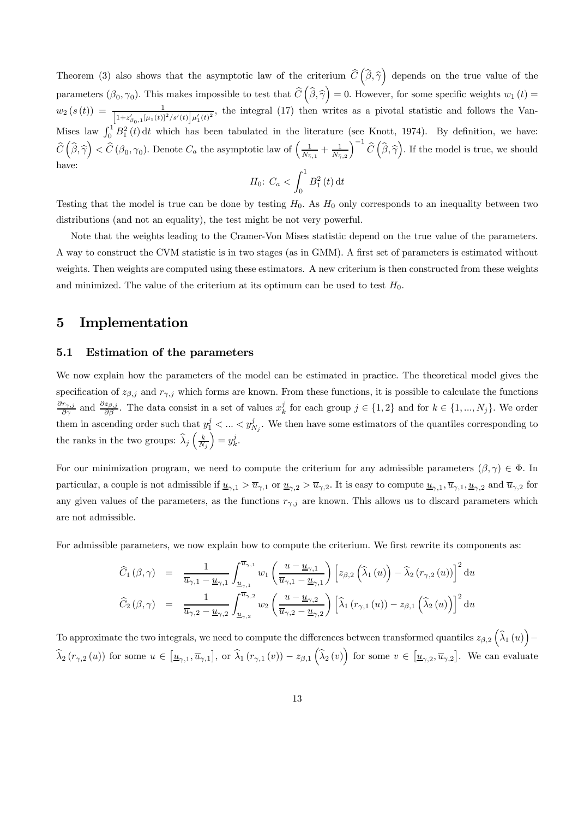Theorem (3) also shows that the asymptotic law of the criterium  $\hat{C}(\hat{\beta}, \hat{\gamma})$  depends on the true value of the parameters  $(\beta_0, \gamma_0)$ . This makes impossible to test that  $\hat{C}(\hat{\beta}, \hat{\gamma}) = 0$ . However, for some specific weights  $w_1(t) =$  $w_2(s(t)) = \frac{1}{\left[1+z'_{\beta_0,1}[\mu_1(t)]^2/s'(t)\right]\mu'_1(t)^2}$ , the integral (17) then writes as a pivotal statistic and follows the Van-Mises law  $\int_0^1 B_1^2(t) dt$  which has been tabulated in the literature (see Knott, 1974). By definition, we have:  $\widehat{C}\left(\widehat{\beta},\widehat{\gamma}\right) < \widehat{C}\left(\beta_0,\gamma_0\right)$ . Denote  $C_a$  the asymptotic law of  $\left(\frac{1}{\widehat{N}_{\widehat{\gamma},1}} + \frac{1}{\widehat{N}_{\widehat{\gamma},2}}\right)$  $\int^{-1} \widehat{C}\left(\widehat{\boldsymbol{\beta}}, \widehat{\boldsymbol{\gamma}}\right)$ . If the model is true, we should have:  $\int_1^1$ 

$$
H_0: C_a < \int_0^1 B_1^2(t) \, \mathrm{d}t
$$

Testing that the model is true can be done by testing  $H_0$ . As  $H_0$  only corresponds to an inequality between two distributions (and not an equality), the test might be not very powerful.

Note that the weights leading to the Cramer-Von Mises statistic depend on the true value of the parameters. A way to construct the CVM statistic is in two stages (as in GMM). A first set of parameters is estimated without weights. Then weights are computed using these estimators. A new criterium is then constructed from these weights and minimized. The value of the criterium at its optimum can be used to test  $H_0$ .

## 5 Implementation

#### 5.1 Estimation of the parameters

We now explain how the parameters of the model can be estimated in practice. The theoretical model gives the specification of  $z_{\beta,j}$  and  $r_{\gamma,j}$  which forms are known. From these functions, it is possible to calculate the functions  $\frac{\partial r_{\gamma,j}}{\partial \gamma}$  and  $\frac{\partial z_{\beta,j}}{\partial \beta}$ . The data consist in a set of values  $x_k^j$  for each group  $j \in \{1, 2\}$  and for  $k \in \{1, ..., N_j\}$ . We order them in ascending order such that  $y_1^j < ... < y_{N_j}^j$ . We then have some estimators of the quantiles corresponding to the ranks in the two groups:  $\widehat{\lambda}_{j} \left( \frac{k}{N_{j}} \right)$  $= y_k^j$ .

For our minimization program, we need to compute the criterium for any admissible parameters  $(\beta, \gamma) \in \Phi$ . In particular, a couple is not admissible if  $\underline{u}_{\gamma,1} > \overline{u}_{\gamma,1}$  or  $\underline{u}_{\gamma,2} > \overline{u}_{\gamma,2}$ . It is easy to compute  $\underline{u}_{\gamma,1}, \overline{u}_{\gamma,1}, \underline{u}_{\gamma,2}$  and  $\overline{u}_{\gamma,2}$  for any given values of the parameters, as the functions  $r_{\gamma,j}$  are known. This allows us to discard parameters which are not admissible.

For admissible parameters, we now explain how to compute the criterium. We first rewrite its components as:

$$
\widehat{C}_{1}(\beta,\gamma) = \frac{1}{\overline{u}_{\gamma,1} - \underline{u}_{\gamma,1}} \int_{\underline{u}_{\gamma,1}}^{\overline{u}_{\gamma,1}} w_{1} \left( \frac{u - \underline{u}_{\gamma,1}}{\overline{u}_{\gamma,1} - \underline{u}_{\gamma,1}} \right) \left[ z_{\beta,2} \left( \widehat{\lambda}_{1}(u) \right) - \widehat{\lambda}_{2} \left( r_{\gamma,2}(u) \right) \right]^{2} du
$$
  

$$
\widehat{C}_{2}(\beta,\gamma) = \frac{1}{\overline{u}_{\gamma,2} - \underline{u}_{\gamma,2}} \int_{\underline{u}_{\gamma,2}}^{\overline{u}_{\gamma,2}} w_{2} \left( \frac{u - \underline{u}_{\gamma,2}}{\overline{u}_{\gamma,2} - \underline{u}_{\gamma,2}} \right) \left[ \widehat{\lambda}_{1} \left( r_{\gamma,1}(u) \right) - z_{\beta,1} \left( \widehat{\lambda}_{2}(u) \right) \right]^{2} du
$$

To approximate the two integrals, we need to compute the differences between transformed quantiles  $z_{\beta,2}(\hat{\lambda}_1(u))$ −  $\widehat{\lambda}_{2}(r_{\gamma,2}(u))$  for some  $u \in [\underline{u}_{\gamma,1}, \overline{u}_{\gamma,1}],$  or  $\widehat{\lambda}_{1}(r_{\gamma,1}(v)) - z_{\beta,1}(\widehat{\lambda}_{2}(v))$  for some  $v \in [\underline{u}_{\gamma,2}, \overline{u}_{\gamma,2}].$  We can evaluate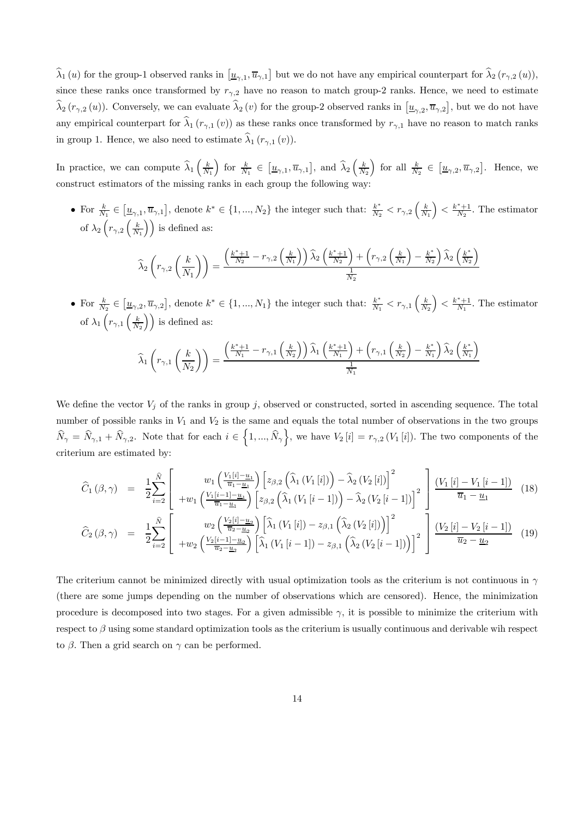$\widehat{\lambda}_1(u)$  for the group-1 observed ranks in  $[\underline{u}_{\gamma,1}, \overline{u}_{\gamma,1}]$  but we do not have any empirical counterpart for  $\widehat{\lambda}_2(r_{\gamma,2}(u))$ , since these ranks once transformed by  $r_{\gamma,2}$  have no reason to match group-2 ranks. Hence, we need to estimate  $\widehat{\lambda}_{2}(r_{\gamma,2}(u))$ . Conversely, we can evaluate  $\widehat{\lambda}_{2}(v)$  for the group-2 observed ranks in  $[\underline{u}_{\gamma,2}, \overline{u}_{\gamma,2}]$ , but we do not have any empirical counterpart for  $\hat{\lambda}_1 (r_{\gamma,1} (v))$  as these ranks once transformed by  $r_{\gamma,1}$  have no reason to match ranks in group 1. Hence, we also need to estimate  $\hat{\lambda}_1 (r_{\gamma,1} (v))$ .

In practice, we can compute  $\widehat{\lambda}_1\left(\frac{k}{N_1}\right)$ for  $\frac{k}{N_1} \in \left[\underline{u}_{\gamma,1}, \overline{u}_{\gamma,1}\right]$ , and  $\widehat{\lambda}_2\left(\frac{k}{N_2}\right)$ for all  $\frac{k}{N_2} \in [\underline{u}_{\gamma,2}, \overline{u}_{\gamma,2}]$ . Hence, we construct estimators of the missing ranks in each group the following way:

• For  $\frac{k}{N_1} \in [\underline{u}_{\gamma,1}, \overline{u}_{\gamma,1}]$ , denote  $k^* \in \{1, ..., N_2\}$  the integer such that:  $\frac{k^*}{N_2} < r_{\gamma,2} \left(\frac{k}{N_1}\right)$  $\left( \frac{k^*+1}{N_2} \right)$ . The estimator of  $\lambda_2\left(r_{\gamma,2}\left(\frac{k}{N_1}\right)\right)$  is defined as:

$$
\widehat{\lambda}_{2}\left(r_{\gamma,2}\left(\frac{k}{N_{1}}\right)\right)=\frac{\left(\frac{k^{*}+1}{N_{2}}-r_{\gamma,2}\left(\frac{k}{N_{1}}\right)\right)\widehat{\lambda}_{2}\left(\frac{k^{*}+1}{N_{2}}\right)+\left(r_{\gamma,2}\left(\frac{k}{N_{1}}\right)-\frac{k^{*}}{N_{2}}\right)\widehat{\lambda}_{2}\left(\frac{k^{*}}{N_{2}}\right)}{\frac{1}{N_{2}}}
$$

• For  $\frac{k}{N_2} \in [\underline{u}_{\gamma,2}, \overline{u}_{\gamma,2}]$ , denote  $k^* \in \{1, ..., N_1\}$  the integer such that:  $\frac{k^*}{N_1} < r_{\gamma,1} \left(\frac{k}{N_2}\right)$  $\left( \frac{k^*+1}{N_1} \right)$ . The estimator of  $\lambda_1\left(r_{\gamma,1}\left(\frac{k}{N_2}\right)\right)$  is defined as:

$$
\widehat{\lambda}_{1}\left(r_{\gamma,1}\left(\frac{k}{N_{2}}\right)\right)=\frac{\left(\frac{k^{*}+1}{N_{1}}-r_{\gamma,1}\left(\frac{k}{N_{2}}\right)\right)\widehat{\lambda}_{1}\left(\frac{k^{*}+1}{N_{1}}\right)+\left(r_{\gamma,1}\left(\frac{k}{N_{2}}\right)-\frac{k^{*}}{N_{1}}\right)\widehat{\lambda}_{2}\left(\frac{k^{*}}{N_{1}}\right)}{\frac{1}{N_{1}}}
$$

We define the vector  $V_j$  of the ranks in group j, observed or constructed, sorted in ascending sequence. The total number of possible ranks in  $V_1$  and  $V_2$  is the same and equals the total number of observations in the two groups  $\widehat{N}_{\gamma} = \widehat{N}_{\gamma,1} + \widehat{N}_{\gamma,2}$ . Note that for each  $i \in \left\{1, ..., \widehat{N}_{\gamma}\right\}$ , we have  $V_2[i] = r_{\gamma,2} (V_1[i])$ . The two components of the criterium are estimated by:

$$
\widehat{C}_{1}(\beta,\gamma) = \frac{1}{2} \sum_{i=2}^{\widehat{N}} \left[ w_{1} \left( \frac{V_{1}[i] - u_{1}}{\overline{u}_{1} - u_{1}} \right) \left[ z_{\beta,2} \left( \widehat{\lambda}_{1} \left( V_{1}[i] \right) \right) - \widehat{\lambda}_{2} \left( V_{2}[i] \right) \right]^{2} \right] \frac{\left( V_{1}[i] - V_{1}[i-1] \right)}{\overline{u}_{1} - u_{1}} \left( V_{1}[i-1] - u_{1} \right) \left[ z_{\beta,2} \left( \widehat{\lambda}_{1} \left( V_{1}[i-1] \right) \right) - \widehat{\lambda}_{2} \left( V_{2}[i-1] \right) \right]^{2} \right] \frac{\left( V_{1}[i] - V_{1}[i-1] \right)}{\overline{u}_{1} - u_{1}} \quad (18)
$$
\n
$$
\widehat{C}_{2}(\beta,\gamma) = \frac{1}{2} \sum_{i=2}^{\widehat{N}} \left[ w_{2} \left( \frac{V_{2}[i] - u_{2}}{\overline{u}_{2} - u_{2}} \right) \left[ \widehat{\lambda}_{1} \left( V_{1}[i] \right) - z_{\beta,1} \left( \widehat{\lambda}_{2} \left( V_{2}[i] \right) \right) \right]^{2} \right] \frac{\left( V_{2}[i] - V_{2}[i-1] \right)}{\overline{u}_{2} - u_{2}} \quad (19)
$$

The criterium cannot be minimized directly with usual optimization tools as the criterium is not continuous in  $\gamma$ (there are some jumps depending on the number of observations which are censored). Hence, the minimization procedure is decomposed into two stages. For a given admissible  $\gamma$ , it is possible to minimize the criterium with respect to  $\beta$  using some standard optimization tools as the criterium is usually continuous and derivable wih respect to  $\beta$ . Then a grid search on  $\gamma$  can be performed.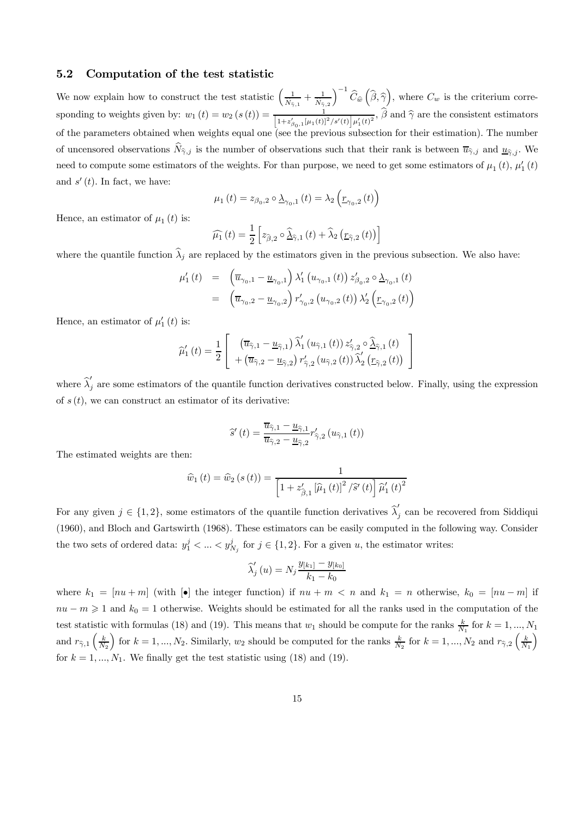#### 5.2 Computation of the test statistic

We now explain how to construct the test statistic  $\left(\frac{1}{\hat{N}_{\hat{\gamma},1}} + \frac{1}{\hat{N}_{\hat{\gamma},2}}\right)$  $\int^{-1} \widehat{C}_{\widehat{w}}\left(\widehat{\beta}, \widehat{\gamma}\right)$ , where  $C_w$  is the criterium corresponding to weights given by:  $w_1(t) = w_2(s(t)) = \frac{1}{\left[1 + z'_{\beta_0,1}[\mu_1(t)]^2/s'(t)\right]\mu'_1(t)^2}$ ,  $\hat{\beta}$  and  $\hat{\gamma}$  are the consistent estimators of the parameters obtained when weights equal one (see the previous subsection for their estimation). The number of uncensored observations  $\hat{N}_{\hat{\gamma},j}$  is the number of observations such that their rank is between  $\overline{u}_{\hat{\gamma},j}$  and  $\underline{u}_{\hat{\gamma},j}$ . We need to compute some estimators of the weights. For than purpose, we need to get some estimators of  $\mu_1(t)$ ,  $\mu'_1(t)$ and  $s'(t)$ . In fact, we have:

$$
\mu_{1}\left(t\right)=z_{\beta_{0},2}\circ\underline{\lambda}_{\gamma_{0},1}\left(t\right)=\lambda_{2}\left(\underline{r}_{\gamma_{0},2}\left(t\right)\right)
$$

Hence, an estimator of  $\mu_1(t)$  is:

$$
\widehat{\mu_1}(t) = \frac{1}{2} \left[ z_{\widehat{\beta},2} \circ \widehat{\Delta}_{\widehat{\gamma},1}(t) + \widehat{\lambda}_2 \left( \underline{r}_{\widehat{\gamma},2}(t) \right) \right]
$$

where the quantile function  $\hat{\lambda}_i$  are replaced by the estimators given in the previous subsection. We also have:

$$
\mu'_{1}(t) = \left(\overline{u}_{\gamma_{0},1} - \underline{u}_{\gamma_{0},1}\right) \lambda'_{1}\left(u_{\gamma_{0},1}(t)\right) z'_{\beta_{0},2} \circ \underline{\lambda}_{\gamma_{0},1}(t)
$$

$$
= \left(\overline{u}_{\gamma_{0},2} - \underline{u}_{\gamma_{0},2}\right) r'_{\gamma_{0},2}\left(u_{\gamma_{0},2}(t)\right) \lambda'_{2}\left(\underline{r}_{\gamma_{0},2}(t)\right)
$$

Hence, an estimator of  $\mu'_1(t)$  is:

$$
\widehat{\mu}'_1(t) = \frac{1}{2} \left[ \begin{array}{c} \left( \overline{u}_{\widehat{\gamma},1} - \underline{u}_{\widehat{\gamma},1} \right) \widehat{\lambda}'_1 \left( u_{\widehat{\gamma},1} \left( t \right) \right) z'_{\widehat{\gamma},2} \circ \widehat{\underline{\lambda}}_{\widehat{\gamma},1} \left( t \right) \\ + \left( \overline{u}_{\widehat{\gamma},2} - \underline{u}_{\widehat{\gamma},2} \right) r'_{\widehat{\gamma},2} \left( u_{\widehat{\gamma},2} \left( t \right) \right) \widehat{\lambda}'_2 \left( \underline{r}_{\widehat{\gamma},2} \left( t \right) \right) \end{array} \right]
$$

where  $\hat{\lambda}'_j$  are some estimators of the quantile function derivatives constructed below. Finally, using the expression of  $s(t)$ , we can construct an estimator of its derivative:

$$
\widehat{s}'\left(t\right) = \frac{\overline{u}_{\widehat{\gamma},1} - \underline{u}_{\widehat{\gamma},1}}{\overline{u}_{\widehat{\gamma},2} - \underline{u}_{\widehat{\gamma},2}} r'_{\widehat{\gamma},2} \left(u_{\widehat{\gamma},1}\left(t\right)\right)
$$

The estimated weights are then:

$$
\widehat{w}_{1}\left(t\right) = \widehat{w}_{2}\left(s\left(t\right)\right) = \frac{1}{\left[1 + z_{\widehat{\beta},1}^{\prime}\left[\widehat{\mu}_{1}\left(t\right)\right]^{2} / \widehat{s}'\left(t\right)\right] \widehat{\mu}'_{1}\left(t\right)^{2}}
$$

For any given  $j \in \{1,2\}$ , some estimators of the quantile function derivatives  $\hat{\lambda}'_j$  can be recovered from Siddiqui (1960), and Bloch and Gartswirth (1968). These estimators can be easily computed in the following way. Consider the two sets of ordered data:  $y_1^j < ... < y_{N_j}^j$  for  $j \in \{1,2\}$ . For a given u, the estimator writes:

$$
\widehat{\lambda}'_j(u) = N_j \frac{y_{[k_1]} - y_{[k_0]}}{k_1 - k_0}
$$

where  $k_1 = [nu + m]$  (with  $\bullet$ ) the integer function) if  $nu + m < n$  and  $k_1 = n$  otherwise,  $k_0 = [nu - m]$  if  $nu - m \geq 1$  and  $k_0 = 1$  otherwise. Weights should be estimated for all the ranks used in the computation of the test statistic with formulas (18) and (19). This means that  $w_1$  should be compute for the ranks  $\frac{k}{N_1}$  for  $k = 1, ..., N_1$ and  $r_{\widehat{7},1} \left(\frac{k}{N_2}\right)$ for  $k = 1, ..., N_2$ . Similarly,  $w_2$  should be computed for the ranks  $\frac{k}{N_2}$  for  $k = 1, ..., N_2$  and  $r_{\hat{\gamma},2} \left(\frac{k}{N_1}\right)$ ´ for  $k = 1, ..., N_1$ . We finally get the test statistic using (18) and (19).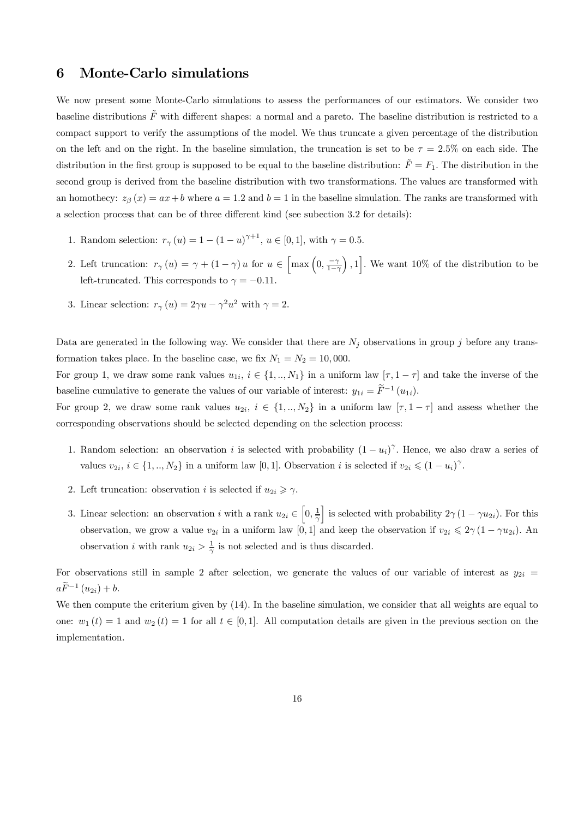## 6 Monte-Carlo simulations

We now present some Monte-Carlo simulations to assess the performances of our estimators. We consider two baseline distributions  $\tilde{F}$  with different shapes: a normal and a pareto. The baseline distribution is restricted to a compact support to verify the assumptions of the model. We thus truncate a given percentage of the distribution on the left and on the right. In the baseline simulation, the truncation is set to be  $\tau = 2.5\%$  on each side. The distribution in the first group is supposed to be equal to the baseline distribution:  $\tilde{F} = F_1$ . The distribution in the second group is derived from the baseline distribution with two transformations. The values are transformed with an homothecy:  $z_{\beta}(x) = ax + b$  where  $a = 1.2$  and  $b = 1$  in the baseline simulation. The ranks are transformed with a selection process that can be of three different kind (see subection 3.2 for details):

- 1. Random selection:  $r_{\gamma}(u) = 1 (1 u)^{\gamma + 1}$ ,  $u \in [0, 1]$ , with  $\gamma = 0.5$ .
- 2. Left truncation:  $r_{\gamma}(u) = \gamma + (1 \gamma)u$  for  $u \in \left[\max\left(0, \frac{-\gamma}{1-\gamma}\right)\right]$  $\left[ ,1\right]$ . We want 10% of the distribution to be left-truncated. This corresponds to  $\gamma = -0.11$ .
- 3. Linear selection:  $r_\gamma(u)=2\gamma u-\gamma^2u^2$  with  $\gamma=2$ .

Data are generated in the following way. We consider that there are  $N_j$  observations in group j before any transformation takes place. In the baseline case, we fix  $N_1 = N_2 = 10,000$ .

For group 1, we draw some rank values  $u_{1i}$ ,  $i \in \{1, ..., N_1\}$  in a uniform law  $[\tau, 1 - \tau]$  and take the inverse of the baseline cumulative to generate the values of our variable of interest:  $y_{1i} = \tilde{F}^{-1}(u_{1i}).$ 

For group 2, we draw some rank values  $u_{2i}$ ,  $i \in \{1,..,N_2\}$  in a uniform law  $[\tau,1-\tau]$  and assess whether the corresponding observations should be selected depending on the selection process:

- 1. Random selection: an observation i is selected with probability  $(1 u_i)^\gamma$ . Hence, we also draw a series of values  $v_{2i}$ ,  $i \in \{1, ..., N_2\}$  in a uniform law [0, 1]. Observation i is selected if  $v_{2i} \leq (1 - u_i)^{\gamma}$ .
- 2. Left truncation: observation *i* is selected if  $u_{2i} \geq \gamma$ .
- 3. Linear selection: an observation i with a rank  $u_{2i} \in [0, \frac{1}{\gamma}]$ is selected with probability  $2\gamma (1 - \gamma u_{2i})$ . For this observation, we grow a value  $v_{2i}$  in a uniform law [0, 1] and keep the observation if  $v_{2i} \leq 2\gamma (1 - \gamma u_{2i})$ . An observation *i* with rank  $u_{2i} > \frac{1}{\gamma}$  is not selected and is thus discarded.

For observations still in sample 2 after selection, we generate the values of our variable of interest as  $y_{2i} =$  $a\widetilde{F}^{-1}(u_{2i})+b.$ 

We then compute the criterium given by  $(14)$ . In the baseline simulation, we consider that all weights are equal to one:  $w_1(t)=1$  and  $w_2(t)=1$  for all  $t \in [0,1]$ . All computation details are given in the previous section on the implementation.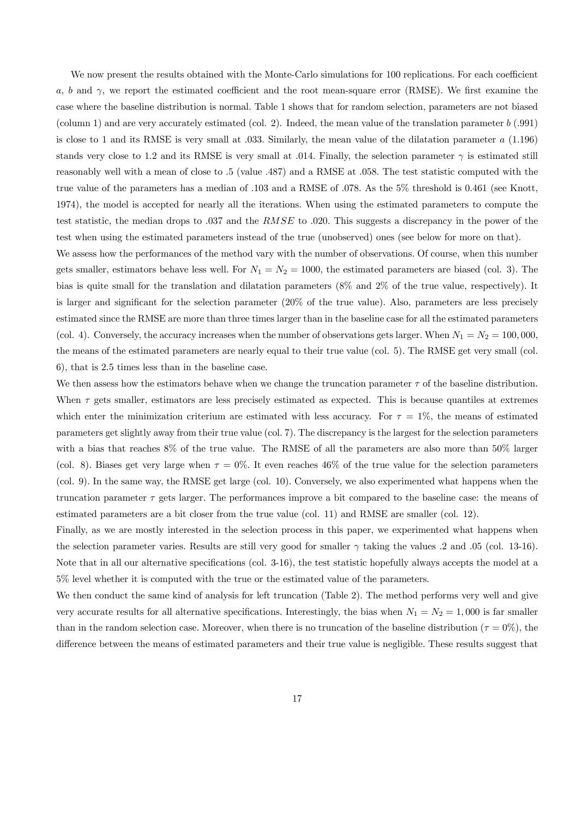We now present the results obtained with the Monte-Carlo simulations for 100 replications. For each coefficient a, b and  $\gamma$ , we report the estimated coefficient and the root mean-square error (RMSE). We first examine the case where the baseline distribution is normal. Table 1 shows that for random selection, parameters are not biased (column 1) and are very accurately estimated (col. 2). Indeed, the mean value of the translation parameter  $b$  (.991) is close to 1 and its RMSE is very small at .033. Similarly, the mean value of the dilatation parameter  $a(1.196)$ stands very close to 1.2 and its RMSE is very small at .014. Finally, the selection parameter  $\gamma$  is estimated still reasonably well with a mean of close to .5 (value .487) and a RMSE at .058. The test statistic computed with the true value of the parameters has a median of .103 and a RMSE of .078. As the 5% threshold is 0.461 (see Knott, 1974), the model is accepted for nearly all the iterations. When using the estimated parameters to compute the test statistic, the median drops to .037 and the RMSE to .020. This suggests a discrepancy in the power of the test when using the estimated parameters instead of the true (unobserved) ones (see below for more on that).

We assess how the performances of the method vary with the number of observations. Of course, when this number gets smaller, estimators behave less well. For  $N_1 = N_2 = 1000$ , the estimated parameters are biased (col. 3). The bias is quite small for the translation and dilatation parameters (8% and 2% of the true value, respectively). It is larger and significant for the selection parameter (20% of the true value). Also, parameters are less precisely estimated since the RMSE are more than three times larger than in the baseline case for all the estimated parameters (col. 4). Conversely, the accuracy increases when the number of observations gets larger. When  $N_1 = N_2 = 100,000$ , the means of the estimated parameters are nearly equal to their true value (col. 5). The RMSE get very small (col. 6), that is 2.5 times less than in the baseline case.

We then assess how the estimators behave when we change the truncation parameter  $\tau$  of the baseline distribution. When  $\tau$  gets smaller, estimators are less precisely estimated as expected. This is because quantiles at extremes which enter the minimization criterium are estimated with less accuracy. For  $\tau = 1\%$ , the means of estimated parameters get slightly away from their true value (col. 7). The discrepancy is the largest for the selection parameters with a bias that reaches 8% of the true value. The RMSE of all the parameters are also more than 50% larger (col. 8). Biases get very large when  $\tau = 0\%$ . It even reaches 46% of the true value for the selection parameters (col. 9). In the same way, the RMSE get large (col. 10). Conversely, we also experimented what happens when the truncation parameter  $\tau$  gets larger. The performances improve a bit compared to the baseline case: the means of estimated parameters are a bit closer from the true value (col. 11) and RMSE are smaller (col. 12).

Finally, as we are mostly interested in the selection process in this paper, we experimented what happens when the selection parameter varies. Results are still very good for smaller  $\gamma$  taking the values .2 and .05 (col. 13-16). Note that in all our alternative specifications (col. 3-16), the test statistic hopefully always accepts the model at a 5% level whether it is computed with the true or the estimated value of the parameters.

We then conduct the same kind of analysis for left truncation (Table 2). The method performs very well and give very accurate results for all alternative specifications. Interestingly, the bias when  $N_1 = N_2 = 1,000$  is far smaller than in the random selection case. Moreover, when there is no truncation of the baseline distribution ( $\tau = 0\%$ ), the difference between the means of estimated parameters and their true value is negligible. These results suggest that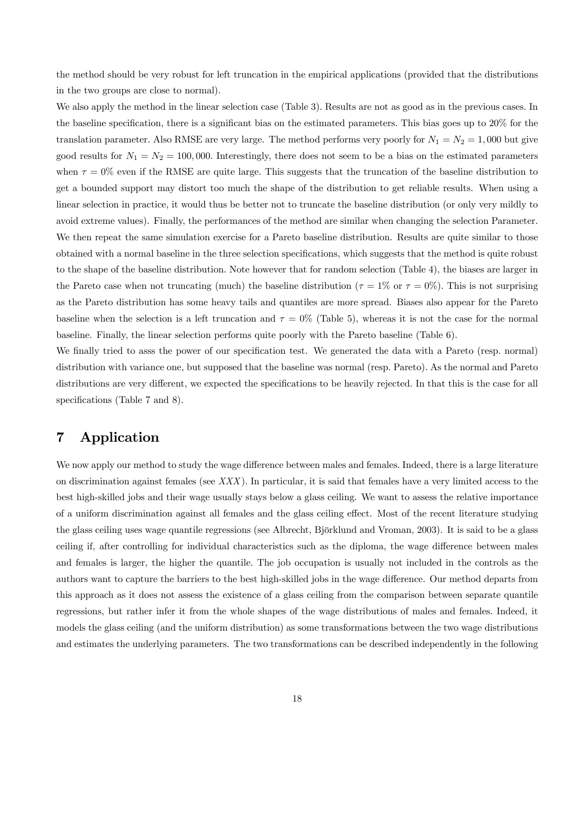the method should be very robust for left truncation in the empirical applications (provided that the distributions in the two groups are close to normal).

We also apply the method in the linear selection case (Table 3). Results are not as good as in the previous cases. In the baseline specification, there is a significant bias on the estimated parameters. This bias goes up to 20% for the translation parameter. Also RMSE are very large. The method performs very poorly for  $N_1 = N_2 = 1,000$  but give good results for  $N_1 = N_2 = 100,000$ . Interestingly, there does not seem to be a bias on the estimated parameters when  $\tau = 0\%$  even if the RMSE are quite large. This suggests that the truncation of the baseline distribution to get a bounded support may distort too much the shape of the distribution to get reliable results. When using a linear selection in practice, it would thus be better not to truncate the baseline distribution (or only very mildly to avoid extreme values). Finally, the performances of the method are similar when changing the selection Parameter. We then repeat the same simulation exercise for a Pareto baseline distribution. Results are quite similar to those obtained with a normal baseline in the three selection specifications, which suggests that the method is quite robust to the shape of the baseline distribution. Note however that for random selection (Table 4), the biases are larger in the Pareto case when not truncating (much) the baseline distribution ( $\tau = 1\%$  or  $\tau = 0\%$ ). This is not surprising as the Pareto distribution has some heavy tails and quantiles are more spread. Biases also appear for the Pareto baseline when the selection is a left truncation and  $\tau = 0\%$  (Table 5), whereas it is not the case for the normal baseline. Finally, the linear selection performs quite poorly with the Pareto baseline (Table 6).

We finally tried to asss the power of our specification test. We generated the data with a Pareto (resp. normal) distribution with variance one, but supposed that the baseline was normal (resp. Pareto). As the normal and Pareto distributions are very different, we expected the specifications to be heavily rejected. In that this is the case for all specifications (Table 7 and 8).

# 7 Application

We now apply our method to study the wage difference between males and females. Indeed, there is a large literature on discrimination against females (see  $XXX$ ). In particular, it is said that females have a very limited access to the best high-skilled jobs and their wage usually stays below a glass ceiling. We want to assess the relative importance of a uniform discrimination against all females and the glass ceiling effect. Most of the recent literature studying the glass ceiling uses wage quantile regressions (see Albrecht, Björklund and Vroman, 2003). It is said to be a glass ceiling if, after controlling for individual characteristics such as the diploma, the wage difference between males and females is larger, the higher the quantile. The job occupation is usually not included in the controls as the authors want to capture the barriers to the best high-skilled jobs in the wage difference. Our method departs from this approach as it does not assess the existence of a glass ceiling from the comparison between separate quantile regressions, but rather infer it from the whole shapes of the wage distributions of males and females. Indeed, it models the glass ceiling (and the uniform distribution) as some transformations between the two wage distributions and estimates the underlying parameters. The two transformations can be described independently in the following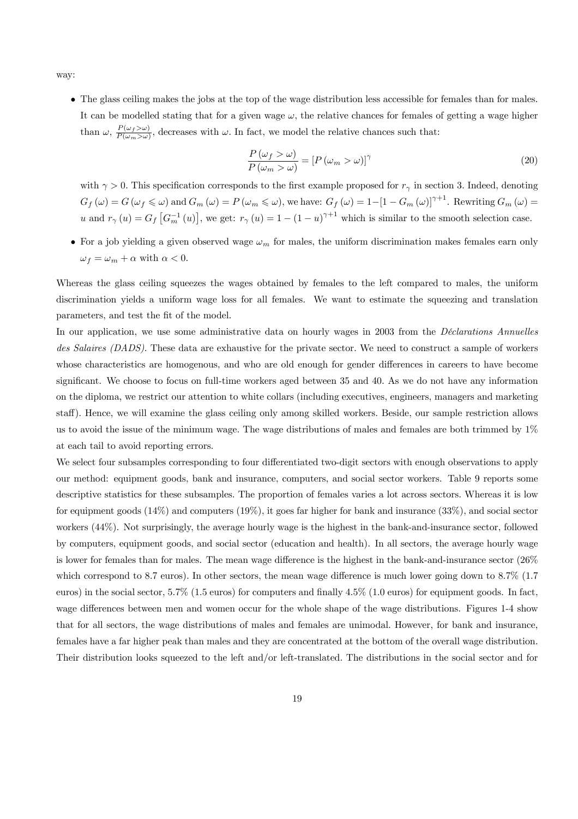way:

• The glass ceiling makes the jobs at the top of the wage distribution less accessible for females than for males. It can be modelled stating that for a given wage  $\omega$ , the relative chances for females of getting a wage higher than  $\omega$ ,  $\frac{P(\omega_f > \omega)}{P(\omega_m > \omega)}$ , decreases with  $\omega$ . In fact, we model the relative chances such that:

$$
\frac{P(\omega_f > \omega)}{P(\omega_m > \omega)} = [P(\omega_m > \omega)]^{\gamma}
$$
\n(20)

with  $\gamma > 0$ . This specification corresponds to the first example proposed for  $r<sub>\gamma</sub>$  in section 3. Indeed, denoting  $G_f(\omega) = G(\omega_f \leq \omega)$  and  $G_m(\omega) = P(\omega_m \leq \omega)$ , we have:  $G_f(\omega) = 1 - [1 - G_m(\omega)]^{\gamma+1}$ . Rewriting  $G_m(\omega) =$ u and  $r_\gamma(u) = G_f \left[ G_m^{-1}(u) \right]$ , we get:  $r_\gamma(u) = 1 - (1 - u)^{\gamma+1}$  which is similar to the smooth selection case.

• For a job yielding a given observed wage  $\omega_m$  for males, the uniform discrimination makes females earn only  $\omega_f = \omega_m + \alpha$  with  $\alpha < 0$ .

Whereas the glass ceiling squeezes the wages obtained by females to the left compared to males, the uniform discrimination yields a uniform wage loss for all females. We want to estimate the squeezing and translation parameters, and test the fit of the model.

In our application, we use some administrative data on hourly wages in 2003 from the *Déclarations Annuelles* des Salaires (DADS). These data are exhaustive for the private sector. We need to construct a sample of workers whose characteristics are homogenous, and who are old enough for gender differences in careers to have become significant. We choose to focus on full-time workers aged between 35 and 40. As we do not have any information on the diploma, we restrict our attention to white collars (including executives, engineers, managers and marketing staff). Hence, we will examine the glass ceiling only among skilled workers. Beside, our sample restriction allows us to avoid the issue of the minimum wage. The wage distributions of males and females are both trimmed by 1% at each tail to avoid reporting errors.

We select four subsamples corresponding to four differentiated two-digit sectors with enough observations to apply our method: equipment goods, bank and insurance, computers, and social sector workers. Table 9 reports some descriptive statistics for these subsamples. The proportion of females varies a lot across sectors. Whereas it is low for equipment goods  $(14\%)$  and computers  $(19\%)$ , it goes far higher for bank and insurance  $(33\%)$ , and social sector workers (44%). Not surprisingly, the average hourly wage is the highest in the bank-and-insurance sector, followed by computers, equipment goods, and social sector (education and health). In all sectors, the average hourly wage is lower for females than for males. The mean wage difference is the highest in the bank-and-insurance sector (26% which correspond to 8.7 euros). In other sectors, the mean wage difference is much lower going down to 8.7% (1.7 euros) in the social sector, 5.7% (1.5 euros) for computers and finally 4.5% (1.0 euros) for equipment goods. In fact, wage differences between men and women occur for the whole shape of the wage distributions. Figures 1-4 show that for all sectors, the wage distributions of males and females are unimodal. However, for bank and insurance, females have a far higher peak than males and they are concentrated at the bottom of the overall wage distribution. Their distribution looks squeezed to the left and/or left-translated. The distributions in the social sector and for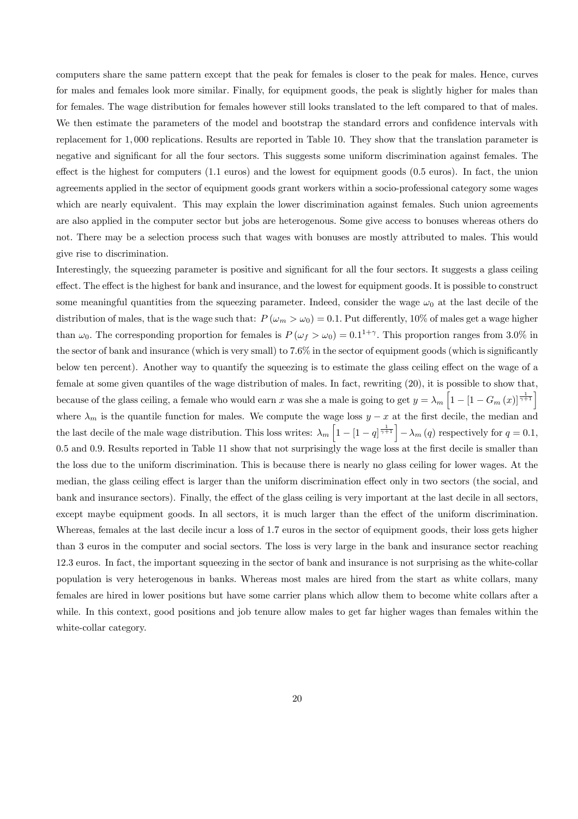computers share the same pattern except that the peak for females is closer to the peak for males. Hence, curves for males and females look more similar. Finally, for equipment goods, the peak is slightly higher for males than for females. The wage distribution for females however still looks translated to the left compared to that of males. We then estimate the parameters of the model and bootstrap the standard errors and confidence intervals with replacement for 1, 000 replications. Results are reported in Table 10. They show that the translation parameter is negative and significant for all the four sectors. This suggests some uniform discrimination against females. The effect is the highest for computers (1.1 euros) and the lowest for equipment goods (0.5 euros). In fact, the union agreements applied in the sector of equipment goods grant workers within a socio-professional category some wages which are nearly equivalent. This may explain the lower discrimination against females. Such union agreements are also applied in the computer sector but jobs are heterogenous. Some give access to bonuses whereas others do not. There may be a selection process such that wages with bonuses are mostly attributed to males. This would give rise to discrimination.

Interestingly, the squeezing parameter is positive and significant for all the four sectors. It suggests a glass ceiling effect. The effect is the highest for bank and insurance, and the lowest for equipment goods. It is possible to construct some meaningful quantities from the squeezing parameter. Indeed, consider the wage  $\omega_0$  at the last decile of the distribution of males, that is the wage such that:  $P(\omega_m > \omega_0) = 0.1$ . Put differently, 10% of males get a wage higher than  $\omega_0$ . The corresponding proportion for females is  $P(\omega_f > \omega_0) = 0.1^{1+\gamma}$ . This proportion ranges from 3.0% in the sector of bank and insurance (which is very small) to 7.6% in the sector of equipment goods (which is significantly below ten percent). Another way to quantify the squeezing is to estimate the glass ceiling effect on the wage of a female at some given quantiles of the wage distribution of males. In fact, rewriting (20), it is possible to show that, because of the glass ceiling, a female who would earn x was she a male is going to get  $y = \lambda_m \left[1 - \left[1 - G_m(x)\right]^{\frac{1}{\gamma + 1}}\right]$ where  $\lambda_m$  is the quantile function for males. We compute the wage loss  $y - x$  at the first decile, the median and the last decile of the male wage distribution. This loss writes:  $\lambda_m \left[1 - \left[1 - q\right]^{\frac{1}{\gamma+1}}\right] - \lambda_m(q)$  respectively for  $q = 0.1$ , 0.5 and 0.9. Results reported in Table 11 show that not surprisingly the wage loss at the first decile is smaller than the loss due to the uniform discrimination. This is because there is nearly no glass ceiling for lower wages. At the median, the glass ceiling effect is larger than the uniform discrimination effect only in two sectors (the social, and bank and insurance sectors). Finally, the effect of the glass ceiling is very important at the last decile in all sectors, except maybe equipment goods. In all sectors, it is much larger than the effect of the uniform discrimination. Whereas, females at the last decile incur a loss of 1.7 euros in the sector of equipment goods, their loss gets higher than 3 euros in the computer and social sectors. The loss is very large in the bank and insurance sector reaching 12.3 euros. In fact, the important squeezing in the sector of bank and insurance is not surprising as the white-collar population is very heterogenous in banks. Whereas most males are hired from the start as white collars, many females are hired in lower positions but have some carrier plans which allow them to become white collars after a while. In this context, good positions and job tenure allow males to get far higher wages than females within the white-collar category.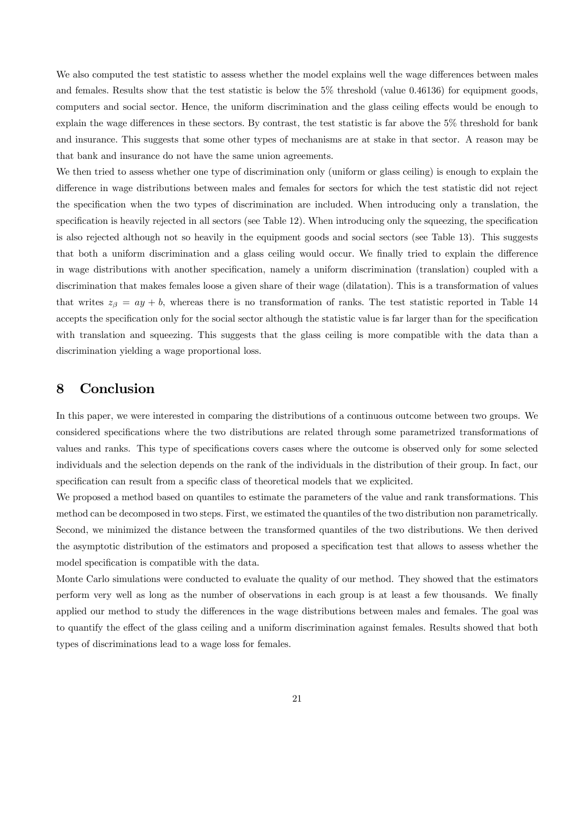We also computed the test statistic to assess whether the model explains well the wage differences between males and females. Results show that the test statistic is below the 5% threshold (value 0.46136) for equipment goods, computers and social sector. Hence, the uniform discrimination and the glass ceiling effects would be enough to explain the wage differences in these sectors. By contrast, the test statistic is far above the 5% threshold for bank and insurance. This suggests that some other types of mechanisms are at stake in that sector. A reason may be that bank and insurance do not have the same union agreements.

We then tried to assess whether one type of discrimination only (uniform or glass ceiling) is enough to explain the difference in wage distributions between males and females for sectors for which the test statistic did not reject the specification when the two types of discrimination are included. When introducing only a translation, the specification is heavily rejected in all sectors (see Table 12). When introducing only the squeezing, the specification is also rejected although not so heavily in the equipment goods and social sectors (see Table 13). This suggests that both a uniform discrimination and a glass ceiling would occur. We finally tried to explain the difference in wage distributions with another specification, namely a uniform discrimination (translation) coupled with a discrimination that makes females loose a given share of their wage (dilatation). This is a transformation of values that writes  $z_{\beta} = ay + b$ , whereas there is no transformation of ranks. The test statistic reported in Table 14 accepts the specification only for the social sector although the statistic value is far larger than for the specification with translation and squeezing. This suggests that the glass ceiling is more compatible with the data than a discrimination yielding a wage proportional loss.

# 8 Conclusion

In this paper, we were interested in comparing the distributions of a continuous outcome between two groups. We considered specifications where the two distributions are related through some parametrized transformations of values and ranks. This type of specifications covers cases where the outcome is observed only for some selected individuals and the selection depends on the rank of the individuals in the distribution of their group. In fact, our specification can result from a specific class of theoretical models that we explicited.

We proposed a method based on quantiles to estimate the parameters of the value and rank transformations. This method can be decomposed in two steps. First, we estimated the quantiles of the two distribution non parametrically. Second, we minimized the distance between the transformed quantiles of the two distributions. We then derived the asymptotic distribution of the estimators and proposed a specification test that allows to assess whether the model specification is compatible with the data.

Monte Carlo simulations were conducted to evaluate the quality of our method. They showed that the estimators perform very well as long as the number of observations in each group is at least a few thousands. We finally applied our method to study the differences in the wage distributions between males and females. The goal was to quantify the effect of the glass ceiling and a uniform discrimination against females. Results showed that both types of discriminations lead to a wage loss for females.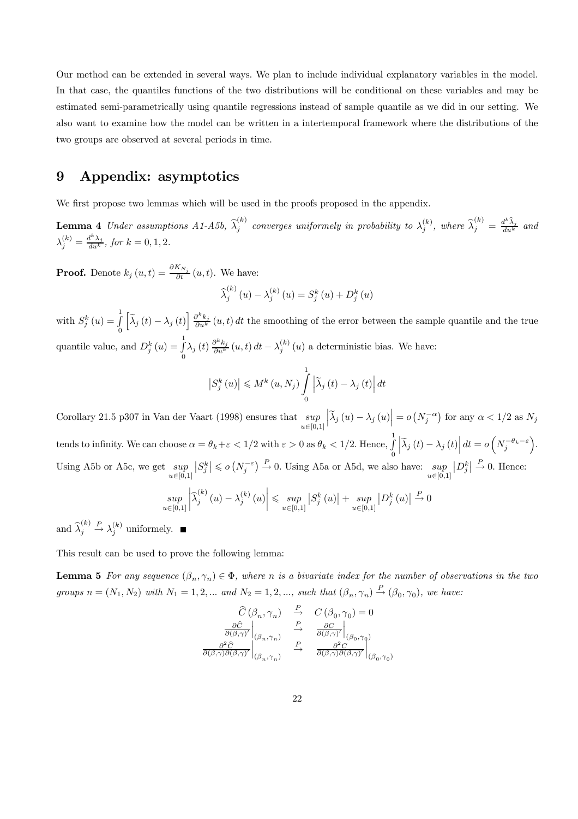Our method can be extended in several ways. We plan to include individual explanatory variables in the model. In that case, the quantiles functions of the two distributions will be conditional on these variables and may be estimated semi-parametrically using quantile regressions instead of sample quantile as we did in our setting. We also want to examine how the model can be written in a intertemporal framework where the distributions of the two groups are observed at several periods in time.

## 9 Appendix: asymptotics

We first propose two lemmas which will be used in the proofs proposed in the appendix.

**Lemma 4** Under assumptions  $A1-A5b$ ,  $\widehat{\lambda}_j^{(k)}$  converges uniformely in probability to  $\lambda_j^{(k)}$ , where  $\widehat{\lambda}_j^{(k)} = \frac{d^k \widehat{\lambda}_j}{du^k}$  and  $\lambda_j^{(k)} = \frac{d^k \lambda_j}{du^k}, \text{ for } k = 0, 1, 2.$ 

**Proof.** Denote  $k_j(u,t) = \frac{\partial K_{N_j}}{\partial t}(u,t)$ . We have:

$$
\widehat{\lambda}_j^{(k)}(u) - \lambda_j^{(k)}(u) = S_j^k(u) + D_j^k(u)
$$

with  $S_j^k(u) = \int_0^1$ 0  $\left[\tilde{\lambda}_{j}\left(t\right)-\lambda_{j}\left(t\right)\right]\frac{\partial^{k}k_{j}}{\partial u^{k}}\left(u,t\right)dt$  the smoothing of the error between the sample quantile and the true quantile value, and  $D_j^k(u) = \int_0^1$  $\int_0^1 \lambda_j(t) \frac{\partial^k k_j}{\partial u^k}(u,t) dt - \lambda_j^{(k)}(u)$  a deterministic bias. We have:

$$
\left|S_{j}^{k}\left(u\right)\right| \leqslant M^{k}\left(u,N_{j}\right)\int\limits_{0}^{1}\left|\widetilde{\lambda}_{j}\left(t\right)-\lambda_{j}\left(t\right)\right|dt
$$

Corollary 21.5 p307 in Van der Vaart (1998) ensures that  $\sup$  $u \in [0,1]$  $\left| \tilde{\lambda}_j \left( u \right) - \lambda_j \left( u \right) \right| = o\left( N_j^{-\alpha} \right)$  for any  $\alpha < 1/2$  as  $N_j$ tends to infinity. We can choose  $\alpha = \theta_k + \varepsilon < 1/2$  with  $\varepsilon > 0$  as  $\theta_k < 1/2$ . Hence,  $\int_0^1$ 0  $\left| \widetilde{\lambda}_j(t) - \lambda_j(t) \right| dt = o\left(N_j^{-\theta_k - \varepsilon}\right).$ Using A5b or A5c, we get  $\sup$  $u \in [0,1]$  $|S_j^k| \leqslant o(N_j^{-\varepsilon}) \stackrel{P}{\to} 0$ . Using A5a or A5d, we also have:  $\sup_{u \in [0,1]}$  $|D_j^k| \stackrel{P}{\to} 0$ . Hence:

$$
\sup_{u \in [0,1]} \left| \widehat{\lambda}_{j}^{(k)}\left(u\right) - \lambda_{j}^{(k)}\left(u\right) \right| \leqslant \sup_{u \in [0,1]} \left| S_{j}^{k}\left(u\right) \right| + \sup_{u \in [0,1]} \left| D_{j}^{k}\left(u\right) \right| \stackrel{P}{\to} 0
$$

and  $\widehat{\lambda}_j^{(k)}$  $\stackrel{P}{\rightarrow} \lambda_j^{(k)}$  uniformely.

This result can be used to prove the following lemma:

**Lemma 5** For any sequence  $(\beta_n, \gamma_n) \in \Phi$ , where n is a bivariate index for the number of observations in the two groups  $n = (N_1, N_2)$  with  $N_1 = 1, 2, \dots$  and  $N_2 = 1, 2, \dots$ , such that  $(\beta_n, \gamma_n) \stackrel{P}{\rightarrow} (\beta_0, \gamma_0)$ , we have:

$$
\begin{array}{ccc} \widehat{C}\left(\beta_n,\gamma_n\right) & \xrightarrow{P} & C\left(\beta_0,\gamma_0\right)=0\\ \frac{\partial \widehat{C}}{\partial\left(\beta,\gamma\right)'}\bigg|_{\left(\beta_n,\gamma_n\right)} & \xrightarrow{P} & \frac{\partial C}{\partial\left(\beta,\gamma\right)'}\bigg|_{\left(\beta_0,\gamma_0\right)}\\ \frac{\partial^2 \widehat{C}}{\partial\left(\beta,\gamma\right) \partial\left(\beta,\gamma\right)}\bigg|_{\left(\beta_n,\gamma_n\right)} & \xrightarrow{P} & \frac{\partial^2 C}{\partial\left(\beta,\gamma\right) \partial\left(\beta,\gamma\right)}\bigg|_{\left(\beta_0,\gamma_0\right)} \end{array}
$$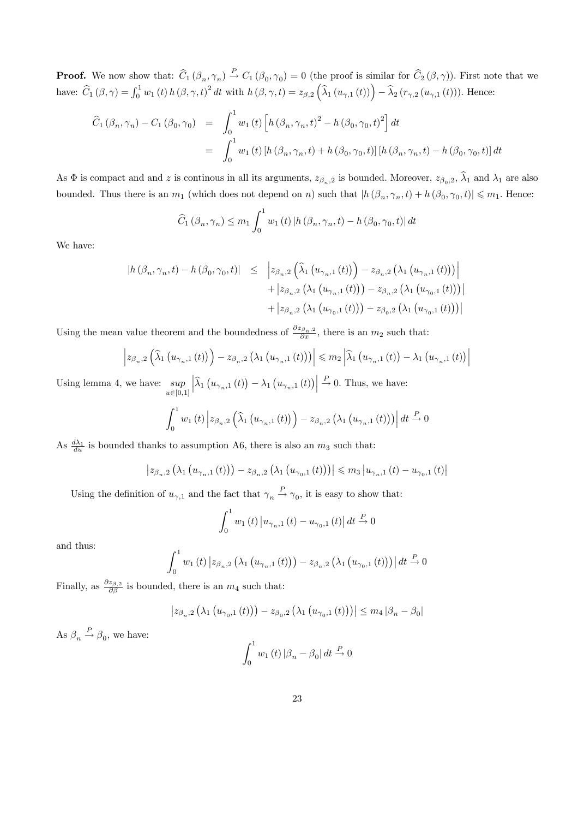**Proof.** We now show that:  $\hat{C}_1 (\beta_n, \gamma_n) \stackrel{P}{\rightarrow} C_1 (\beta_0, \gamma_0) = 0$  (the proof is similar for  $\hat{C}_2 (\beta, \gamma)$ ). First note that we have:  $\hat{C}_1(\beta, \gamma) = \int_0^1 w_1(t) h(\beta, \gamma, t)^2 dt$  with  $h(\beta, \gamma, t) = z_{\beta, 2} (\hat{\lambda}_1(u_{\gamma, 1}(t))) - \hat{\lambda}_2(r_{\gamma, 2}(u_{\gamma, 1}(t)))$ . Hence:

$$
\begin{aligned}\n\widehat{C}_{1} \left( \beta_{n}, \gamma_{n} \right) - C_{1} \left( \beta_{0}, \gamma_{0} \right) &= \int_{0}^{1} w_{1} \left( t \right) \left[ h \left( \beta_{n}, \gamma_{n}, t \right)^{2} - h \left( \beta_{0}, \gamma_{0}, t \right)^{2} \right] dt \\
&= \int_{0}^{1} w_{1} \left( t \right) \left[ h \left( \beta_{n}, \gamma_{n}, t \right) + h \left( \beta_{0}, \gamma_{0}, t \right) \right] \left[ h \left( \beta_{n}, \gamma_{n}, t \right) - h \left( \beta_{0}, \gamma_{0}, t \right) \right] dt\n\end{aligned}
$$

As  $\Phi$  is compact and and z is continous in all its arguments,  $z_{\beta_n,2}$  is bounded. Moreover,  $z_{\beta_0,2}$ ,  $\widehat{\lambda}_1$  and  $\lambda_1$  are also bounded. Thus there is an  $m_1$  (which does not depend on n) such that  $|h(\beta_n, \gamma_n, t) + h(\beta_0, \gamma_0, t)| \leq m_1$ . Hence:

$$
\widehat{C}_{1}(\beta_{n}, \gamma_{n}) \le m_{1} \int_{0}^{1} w_{1}(t) \left| h(\beta_{n}, \gamma_{n}, t) - h(\beta_{0}, \gamma_{0}, t) \right| dt
$$

We have:

$$
|h(\beta_n, \gamma_n, t) - h(\beta_0, \gamma_0, t)| \leq |z_{\beta_n, 2}(\hat{\lambda}_1(u_{\gamma_n, 1}(t))) - z_{\beta_n, 2}(\lambda_1(u_{\gamma_n, 1}(t)))| + |z_{\beta_n, 2}(\lambda_1(u_{\gamma_n, 1}(t))) - z_{\beta_n, 2}(\lambda_1(u_{\gamma_0, 1}(t)))| + |z_{\beta_n, 2}(\lambda_1(u_{\gamma_0, 1}(t))) - z_{\beta_0, 2}(\lambda_1(u_{\gamma_0, 1}(t)))|
$$

Using the mean value theorem and the boundedness of  $\frac{\partial z_{\beta_n,2}}{\partial x}$ , there is an  $m_2$  such that:

$$
\left| z_{\beta_n,2}\left(\widehat{\lambda}_1\left(u_{\gamma_n,1}\left(t\right)\right)\right)-z_{\beta_n,2}\left(\lambda_1\left(u_{\gamma_n,1}\left(t\right)\right)\right)\right| \leqslant m_2\left|\widehat{\lambda}_1\left(u_{\gamma_n,1}\left(t\right)\right)-\lambda_1\left(u_{\gamma_n,1}\left(t\right)\right)\right|
$$

Using lemma 4, we have:  $\sup$  $u \in [0,1]$  $\left| \widehat{\lambda}_{1}\left(u_{\gamma_{n},1}\left(t\right)\right)-\lambda_{1}\left(u_{\gamma_{n},1}\left(t\right)\right)\right|$  $\xrightarrow{P} 0$ . Thus, we have:

$$
\int_0^1 w_1(t) \left| z_{\beta_n,2} \left( \widehat{\lambda}_1 \left( u_{\gamma_n,1}(t) \right) \right) - z_{\beta_n,2} \left( \lambda_1 \left( u_{\gamma_n,1}(t) \right) \right) \right| dt \stackrel{P}{\to} 0
$$

As  $\frac{d\lambda_1}{du}$  is bounded thanks to assumption A6, there is also an  $m_3$  such that:

$$
\left| z_{\beta_n,2} \left( \lambda_1 \left( u_{\gamma_n,1} \left( t \right) \right) \right) - z_{\beta_n,2} \left( \lambda_1 \left( u_{\gamma_0,1} \left( t \right) \right) \right) \right| \leqslant m_3 \left| u_{\gamma_n,1} \left( t \right) - u_{\gamma_0,1} \left( t \right) \right|
$$

Using the definition of  $u_{\gamma,1}$  and the fact that  $\gamma_n \stackrel{P}{\rightarrow} \gamma_0$ , it is easy to show that:

$$
\int_0^1 w_1(t) |u_{\gamma_n,1}(t) - u_{\gamma_0,1}(t)| dt \stackrel{P}{\to} 0
$$

and thus:

$$
\int_{0}^{1} w_{1}(t) \left| z_{\beta_{n},2} \left( \lambda_{1} \left( u_{\gamma_{n},1}(t) \right) \right) - z_{\beta_{n},2} \left( \lambda_{1} \left( u_{\gamma_{0},1}(t) \right) \right) \right| dt \stackrel{P}{\to} 0
$$

Finally, as  $\frac{\partial z_{\beta,2}}{\partial \beta}$  is bounded, there is an  $m_4$  such that:

$$
\left| z_{\beta_n,2} \left( \lambda_1 \left( u_{\gamma_0,1} \left( t \right) \right) \right) - z_{\beta_0,2} \left( \lambda_1 \left( u_{\gamma_0,1} \left( t \right) \right) \right) \right| \le m_4 \left| \beta_n - \beta_0 \right|
$$

As  $\beta_n \stackrel{P}{\rightarrow} \beta_0$ , we have:

$$
\int_0^1 w_1(t) \left| \beta_n - \beta_0 \right| dt \stackrel{P}{\to} 0
$$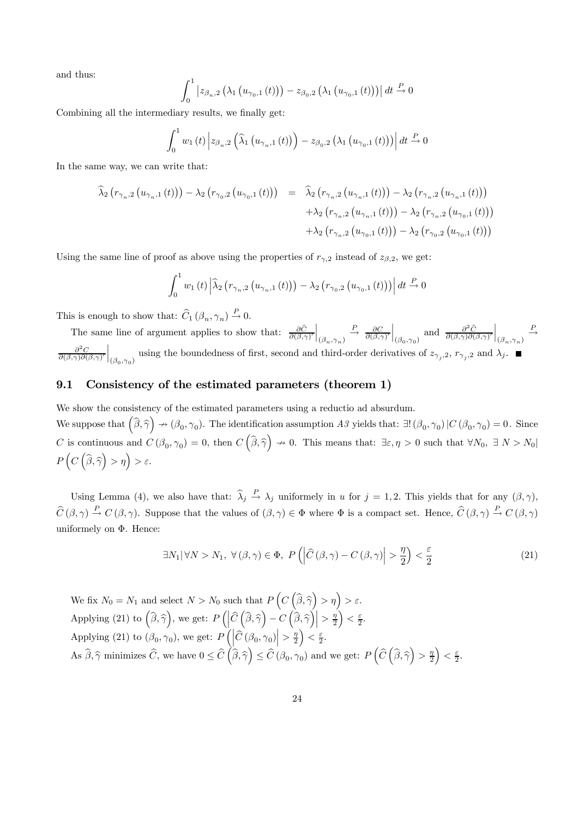and thus:

$$
\int_0^1 |z_{\beta_n,2}(\lambda_1(u_{\gamma_0,1}(t))) - z_{\beta_0,2}(\lambda_1(u_{\gamma_0,1}(t)))| dt \stackrel{P}{\to} 0
$$

Combining all the intermediary results, we finally get:

$$
\int_{0}^{1} w_{1}(t) \left| z_{\beta_{n},2} \left( \widehat{\lambda}_{1} \left( u_{\gamma_{n},1} \left( t \right) \right) \right) - z_{\beta_{0},2} \left( \lambda_{1} \left( u_{\gamma_{0},1} \left( t \right) \right) \right) \right| dt \stackrel{P}{\to} 0
$$

In the same way, we can write that:

$$
\hat{\lambda}_{2} (r_{\gamma_{n},2} (u_{\gamma_{n},1} (t))) - \lambda_{2} (r_{\gamma_{0},2} (u_{\gamma_{0},1} (t))) = \hat{\lambda}_{2} (r_{\gamma_{n},2} (u_{\gamma_{n},1} (t))) - \lambda_{2} (r_{\gamma_{n},2} (u_{\gamma_{n},1} (t))) \n+ \lambda_{2} (r_{\gamma_{n},2} (u_{\gamma_{n},1} (t))) - \lambda_{2} (r_{\gamma_{n},2} (u_{\gamma_{0},1} (t))) \n+ \lambda_{2} (r_{\gamma_{n},2} (u_{\gamma_{0},1} (t))) - \lambda_{2} (r_{\gamma_{0},2} (u_{\gamma_{0},1} (t)))
$$

Using the same line of proof as above using the properties of  $r_{\gamma,2}$  instead of  $z_{\beta,2}$ , we get:

$$
\int_0^1 w_1(t) \left| \widehat{\lambda}_2 \left( r_{\gamma_n,2} \left( u_{\gamma_n,1} \left( t \right) \right) \right) - \lambda_2 \left( r_{\gamma_0,2} \left( u_{\gamma_0,1} \left( t \right) \right) \right) \right| dt \stackrel{P}{\to} 0
$$

This is enough to show that:  $\widehat{C}_1 (\beta_n, \gamma_n) \stackrel{P}{\rightarrow} 0$ .

The same line of argument applies to show that:  $\frac{\partial C}{\partial(\beta,\gamma)}$  $\Big|_{(\beta_n, \gamma_n)}$  $\stackrel{P}{\rightarrow} \frac{\partial C}{\partial(\beta,\gamma)}$  $\Big|_{(\beta_0,\gamma_0)}$  and  $\frac{\partial^2 \widehat{C}}{\partial (\beta,\gamma) \partial (\beta,\gamma)'}$  $\Big\vert_{(\beta_n, \gamma_n)}$  $\stackrel{P}{\longrightarrow}$  $\frac{\partial^2 C}{\partial(\beta,\gamma)\partial(\beta,\gamma)}$ using the boundedness of first, second and third-order derivatives of  $z_{\gamma_j,2}$ ,  $r_{\gamma_j,2}$  and  $\lambda_j$ .

#### 9.1 Consistency of the estimated parameters (theorem 1)

We show the consistency of the estimated parameters using a reductio ad absurdum. We suppose that  $(\hat{\beta}, \hat{\gamma}) \rightarrow (\beta_0, \gamma_0)$ . The identification assumption A3 yields that:  $\exists! (\beta_0, \gamma_0) | C(\beta_0, \gamma_0) = 0$ . Since C is continuous and  $C(\beta_0, \gamma_0) = 0$ , then  $C(\widehat{\beta}, \widehat{\gamma}) \to 0$ . This means that:  $\exists \varepsilon, \eta > 0$  such that  $\forall N_0, \exists N > N_0$  $P\left(C\left(\widehat{\beta},\widehat{\gamma}\right)>\eta\right)>\varepsilon.$ 

Using Lemma (4), we also have that:  $\hat{\lambda}_j \stackrel{P}{\rightarrow} \lambda_j$  uniformely in u for  $j = 1, 2$ . This yields that for any  $(\beta, \gamma)$ ,  $\hat{C}(\beta, \gamma) \stackrel{P}{\rightarrow} C(\beta, \gamma)$ . Suppose that the values of  $(\beta, \gamma) \in \Phi$  where  $\Phi$  is a compact set. Hence,  $\hat{C}(\beta, \gamma) \stackrel{P}{\rightarrow} C(\beta, \gamma)$ uniformely on Φ. Hence:

$$
\exists N_1 |\forall N > N_1, \ \forall (\beta, \gamma) \in \Phi, \ P\left(\left|\widehat{C}(\beta, \gamma) - C(\beta, \gamma)\right| > \frac{\eta}{2}\right) < \frac{\varepsilon}{2}
$$
\n(21)

We fix  $N_0 = N_1$  and select  $N > N_0$  such that  $P\left(C\left(\widehat{\beta}, \widehat{\gamma}\right) > \eta\right) > \varepsilon$ . Applying (21) to  $(\widehat{\beta}, \widehat{\gamma})$ , we get:  $P\left(\left|\widehat{C}\left(\widehat{\beta}, \widehat{\gamma}\right) - C\left(\widehat{\beta}, \widehat{\gamma}\right)\right| > \frac{\eta}{2}\right)$  $\Big\} < \frac{\varepsilon}{2}.$ Applying (21) to  $(\beta_0, \gamma_0)$ , we get:  $P\left( \left| \widehat{C} \left( \beta_0, \gamma_0 \right) \right| > \frac{\gamma_0}{2} \right)$  $\left.\begin{array}{c} \end{array}\right\} < \frac{\varepsilon}{2}.$ As  $\widehat{\beta}, \widehat{\gamma}$  minimizes  $\widehat{C}$ , we have  $0 \leq \widehat{C}\left(\widehat{\beta}, \widehat{\gamma}\right) \leq \widehat{C}\left(\beta_0, \gamma_0\right)$  and we get:  $P\left(\widehat{C}\left(\widehat{\beta}, \widehat{\gamma}\right) > \frac{\eta}{2}\right)$  $\Big) < \frac{\varepsilon}{2}.$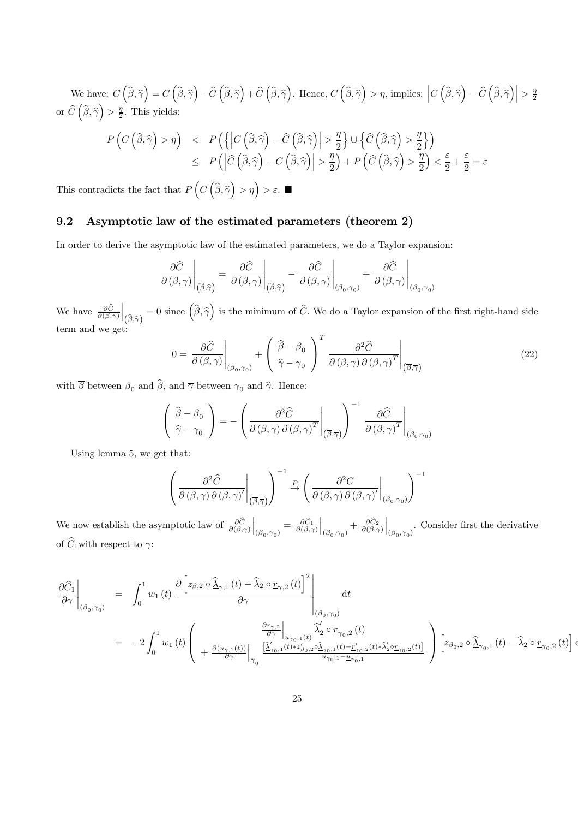We have:  $C\left(\widehat{\beta},\widehat{\gamma}\right) = C\left(\widehat{\beta},\widehat{\gamma}\right) - \widehat{C}\left(\widehat{\beta},\widehat{\gamma}\right) + \widehat{C}\left(\widehat{\beta},\widehat{\gamma}\right)$ . Hence,  $C\left(\widehat{\beta},\widehat{\gamma}\right) > \eta$ , implies:  $\left|C\left(\widehat{\beta},\widehat{\gamma}\right) - \widehat{C}\left(\widehat{\beta},\widehat{\gamma}\right)\right| > \frac{\eta}{2}$ or  $\widehat{C}\left(\widehat{\beta}, \widehat{\gamma}\right) > \frac{\eta}{2}$ . This yields:

$$
P\left(C\left(\widehat{\boldsymbol{\beta}},\widehat{\boldsymbol{\gamma}}\right) > \eta\right) \quad < \quad P\left(\left\{\left|C\left(\widehat{\boldsymbol{\beta}},\widehat{\boldsymbol{\gamma}}\right)-\widehat{C}\left(\widehat{\boldsymbol{\beta}},\widehat{\boldsymbol{\gamma}}\right)\right| > \frac{\eta}{2}\right\} \cup \left\{\widehat{C}\left(\widehat{\boldsymbol{\beta}},\widehat{\boldsymbol{\gamma}}\right) > \frac{\eta}{2}\right\}\right) \\
 < \quad P\left(\left|\widehat{C}\left(\widehat{\boldsymbol{\beta}},\widehat{\boldsymbol{\gamma}}\right)-C\left(\widehat{\boldsymbol{\beta}},\widehat{\boldsymbol{\gamma}}\right)\right| > \frac{\eta}{2}\right) + P\left(\widehat{C}\left(\widehat{\boldsymbol{\beta}},\widehat{\boldsymbol{\gamma}}\right) > \frac{\eta}{2}\right) < \frac{\varepsilon}{2} + \frac{\varepsilon}{2} = \varepsilon
$$

This contradicts the fact that  $P\left(C\left(\widehat{\beta}, \widehat{\gamma}\right) > \eta\right) > \varepsilon$ .

### 9.2 Asymptotic law of the estimated parameters (theorem 2)

In order to derive the asymptotic law of the estimated parameters, we do a Taylor expansion:

$$
\left.\frac{\partial\widehat{C}}{\partial\left(\beta,\gamma\right)}\right|_{\left(\widehat{\beta},\widehat{\gamma}\right)}=\left.\frac{\partial\widehat{C}}{\partial\left(\beta,\gamma\right)}\right|_{\left(\widehat{\beta},\widehat{\gamma}\right)}-\left.\frac{\partial\widehat{C}}{\partial\left(\beta,\gamma\right)}\right|_{\left(\beta_{0},\gamma_{0}\right)}+\left.\frac{\partial\widehat{C}}{\partial\left(\beta,\gamma\right)}\right|_{\left(\beta_{0},\gamma_{0}\right)}
$$

We have  $\frac{\partial C}{\partial(\beta,\gamma)}$  $\Big\vert_{\left(\widehat{\beta},\widehat{\gamma}\right)}$ = 0 since  $(\widehat{\beta}, \widehat{\gamma})$  is the minimum of  $\widehat{C}$ . We do a Taylor expansion of the first right-hand side term and we get:

$$
0 = \frac{\partial \hat{C}}{\partial (\beta, \gamma)} \bigg|_{(\beta_0, \gamma_0)} + \left( \frac{\hat{\beta} - \beta_0}{\hat{\gamma} - \gamma_0} \right)^T \frac{\partial^2 \hat{C}}{\partial (\beta, \gamma) \partial (\beta, \gamma)^T} \bigg|_{(\overline{\beta}, \overline{\gamma})}
$$
(22)

with  $\overline{\beta}$  between  $\beta_0$  and  $\widehat{\beta},$  and  $\overline{\gamma}$  between  $\gamma_0$  and  $\widehat{\gamma}.$  Hence:

$$
\left(\begin{array}{c}\n\widehat{\beta} - \beta_0 \\
\widehat{\gamma} - \gamma_0\n\end{array}\right) = -\left(\frac{\partial^2 \widehat{C}}{\partial (\beta, \gamma) \partial (\beta, \gamma)^T}\bigg|_{(\overline{\beta}, \overline{\gamma})}\right)^{-1} \frac{\partial \widehat{C}}{\partial (\beta, \gamma)^T}\bigg|_{(\beta_0, \gamma_0)}
$$

Using lemma 5, we get that:

$$
\left(\left.\frac{\partial^2 \widehat{C}}{\partial\left(\beta,\gamma\right) \partial\left(\beta,\gamma\right)'}\right|_{\left(\overline{\beta},\overline{\gamma}\right)}\right)^{-1} \xrightarrow{P} \left(\left.\frac{\partial^2 C}{\partial\left(\beta,\gamma\right) \partial\left(\beta,\gamma\right)'}\right|_{\left(\beta_0,\gamma_0\right)}\right)^{-1}
$$

We now establish the asymptotic law of  $\frac{\partial C}{\partial(\beta,\gamma)}$  $\Big|_{(\beta_0,\gamma_0)}=\frac{\partial \hat{C}_1}{\partial (\beta,\gamma)}$  $\Big|_{(\beta_0,\gamma_0)} + \frac{\partial \hat{C}_2}{\partial (\beta,\gamma)}$  $\Big|_{(\beta_0,\gamma_0)}$ . Consider first the derivative of  $\widehat{C}_1$  with respect to  $\gamma$ :

$$
\frac{\partial \widehat{C}_1}{\partial \gamma}\Big|_{(\beta_0,\gamma_0)} = \int_0^1 w_1(t) \frac{\partial \left[ z_{\beta,2} \circ \widehat{\Delta}_{\gamma,1}(t) - \widehat{\lambda}_2 \circ \underline{r}_{\gamma,2}(t) \right]^2}{\partial \gamma} \Big|_{(\beta_0,\gamma_0)} dt
$$
\n
$$
= -2 \int_0^1 w_1(t) \left( \frac{\frac{\partial r_{\gamma,2}}{\partial \gamma}}{\frac{\partial \gamma}{\partial \gamma}} \Big|_{u_{\gamma_0,1}(t)} \widehat{\lambda}_2' \circ \underline{r}_{\gamma_0,2}(t) \over \frac{\left[ \widehat{\Delta}_{\gamma_0,1}'(t) + z_{\beta_0,2}' \circ \widehat{\Delta}_{\gamma_0,1}(t) - z_{\gamma_0,2}'(t) * \widehat{\lambda}_2' \circ \underline{r}_{\gamma_0,2}(t) \right]}{\frac{\partial \widehat{u}_{\gamma_0,1}(t) - z_{\gamma_0,2}'(t) + \widehat{\lambda}_2' \circ \underline{r}_{\gamma_0,2}(t) \right]}{\frac{\partial \widehat{u}_{\gamma_0,1}(t) - z_{\gamma_0,2}'(t) + \widehat{\lambda}_2' \circ \underline{r}_{\gamma_0,2}(t) \right]} \left[ z_{\beta_0,2} \circ \widehat{\Delta}_{\gamma_0,1}(t) - \widehat{\lambda}_2 \circ \underline{r}_{\gamma_0,2}(t) \right] dx
$$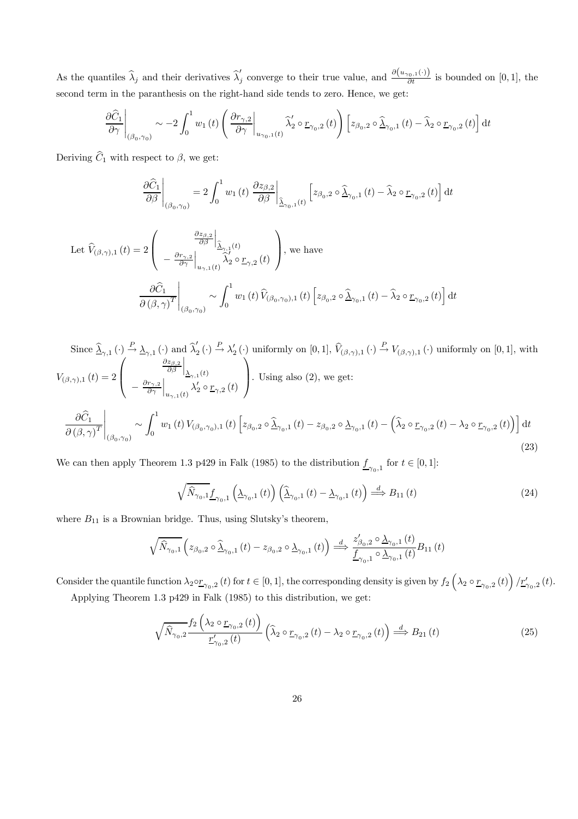As the quantiles  $\widehat{\lambda}_j$  and their derivatives  $\widehat{\lambda}'_j$  converge to their true value, and  $\frac{\partial(u_{\gamma_0,1}(\cdot))}{\partial t}$  is bounded on [0, 1], the second term in the paranthesis on the right-hand side tends to zero. Hence, we get:

$$
\left.\frac{\partial\widehat{C}_1}{\partial\gamma}\right|_{(\beta_0,\gamma_0)} \sim -2\int_0^1 w_1\left(t\right) \left(\left.\frac{\partial r_{\gamma,2}}{\partial\gamma}\right|_{u_{\gamma_0,1}(t)} \widehat{\lambda}_2' \circ \underline{r}_{\gamma_0,2}\left(t\right)\right) \left[z_{\beta_0,2} \circ \widehat{\underline{\lambda}}_{\gamma_0,1}\left(t\right)-\widehat{\lambda}_2 \circ \underline{r}_{\gamma_0,2}\left(t\right)\right] \mathrm{d}t
$$

Deriving  $\widehat{C}_1$  with respect to  $\beta$ , we get:

$$
\frac{\partial \widehat{C}_1}{\partial \beta}\Big|_{(\beta_0,\gamma_0)} = 2 \int_0^1 w_1(t) \left. \frac{\partial z_{\beta,2}}{\partial \beta}\right|_{\widehat{\Delta}_{\gamma_0,1}(t)} \left[ z_{\beta_0,2} \circ \widehat{\Delta}_{\gamma_0,1}(t) - \widehat{\lambda}_2 \circ \underline{r}_{\gamma_0,2}(t) \right] dt
$$

$$
\begin{split} \text{Let } \widehat{V}_{(\beta,\gamma),1}\left(t\right) &= 2\left( \left. \begin{gathered} \left. \frac{\frac{\partial z_{\beta,2}}{\partial \beta} \right|_{\widehat{\Delta}_{\gamma,1}\left(t\right)} }{\left. \widehat{\Delta}_{\gamma} \right|_{u_{\gamma,1}\left(t\right)} } \right. \\ \left. - \left. \frac{\partial r_{\gamma,2}}{\partial \gamma} \right|_{u_{\gamma,1}\left(t\right)} \widehat{\lambda}_{2}' \circ \underline{r}_{\gamma,2}\left(t\right) \end{gathered} \right), \text{ we have} \\ \left. \frac{\partial \widehat{C}_{1}}{\partial \left( \beta, \gamma \right)^{T}} \right|_{\left( \beta_{0}, \gamma_{0}\right)} \sim \int_{0}^{1} w_{1}\left(t\right) \widehat{V}_{\left( \beta_{0}, \gamma_{0}\right),1}\left(t\right) \left[ z_{\beta_{0},2} \circ \widehat{\Delta}_{\gamma_{0},1}\left(t\right) - \widehat{\lambda}_{2} \circ \underline{r}_{\gamma_{0},2}\left(t\right) \right] \text{d}t \end{split}
$$

Since 
$$
\hat{\Delta}_{\gamma,1}(\cdot) \stackrel{P}{\rightarrow} \underline{\lambda}_{\gamma,1}(\cdot)
$$
 and  $\hat{\lambda}'_2(\cdot) \stackrel{P}{\rightarrow} \lambda'_2(\cdot)$  uniformly on [0, 1],  $\hat{V}_{(\beta,\gamma),1}(\cdot) \stackrel{P}{\rightarrow} V_{(\beta,\gamma),1}(\cdot)$  uniformly on [0, 1], with  
\n
$$
V_{(\beta,\gamma),1}(t) = 2 \left( \begin{array}{c} \frac{\partial z_{\beta,2}}{\partial \beta} \Big|_{\Delta_{\gamma,1}(t)} \\ -\frac{\partial r_{\gamma,2}}{\partial \gamma} \Big|_{u_{\gamma,1}(t)} \lambda'_2 \circ \underline{r}_{\gamma,2}(t) \end{array} \right).
$$
 Using also (2), we get:  
\n
$$
\frac{\partial \hat{C}_1}{\partial (\beta,\gamma)^T} \bigg|_{(\beta_0,\gamma_0)} \sim \int_0^1 w_1(t) V_{(\beta_0,\gamma_0),1}(t) \left[ z_{\beta_0,2} \circ \hat{\Delta}_{\gamma_0,1}(t) - z_{\beta_0,2} \circ \Delta_{\gamma_0,1}(t) - \left( \hat{\lambda}_2 \circ \underline{r}_{\gamma_0,2}(t) - \lambda_2 \circ \underline{r}_{\gamma_0,2}(t) \right) \right] dt
$$
\n(23)

We can then apply Theorem 1.3 p429 in Falk (1985) to the distribution  $\underline{f}_{\gamma_0,1}$  for  $t \in [0,1]$ :

$$
\sqrt{\widehat{N}_{\gamma_0,1}} \underline{f}_{\gamma_0,1} \left( \underline{\lambda}_{\gamma_0,1} \left( t \right) \right) \left( \widehat{\underline{\lambda}}_{\gamma_0,1} \left( t \right) - \underline{\lambda}_{\gamma_0,1} \left( t \right) \right) \stackrel{d}{\Longrightarrow} B_{11} \left( t \right) \tag{24}
$$

where  $B_{11}$  is a Brownian bridge. Thus, using Slutsky's theorem,

$$
\sqrt{\hat{N}_{\gamma_{0},1}}\left(z_{\beta_{0},2}\circ\hat{\underline{\lambda}}_{\gamma_{0},1}\left(t\right)-z_{\beta_{0},2}\circ\underline{\lambda}_{\gamma_{0},1}\left(t\right)\right)\overset{d}{\Longrightarrow}\frac{z_{\beta_{0},2}'\circ\underline{\lambda}_{\gamma_{0},1}\left(t\right)}{\underline{f}_{\gamma_{0},1}\circ\underline{\lambda}_{\gamma_{0},1}\left(t\right)}B_{11}\left(t\right)
$$

Consider the quantile function  $\lambda_2 \circ \underline{r}_{\gamma_0,2}(t)$  for  $t \in [0,1]$ , the corresponding density is given by  $f_2\left(\lambda_2 \circ \underline{r}_{\gamma_0,2}(t)\right)/\underline{r}_{\gamma_0,2}'(t)$ .

Applying Theorem 1.3 p429 in Falk (1985) to this distribution, we get:

$$
\sqrt{\widehat{N}_{\gamma_0,2}} \frac{f_2\left(\lambda_2 \circ \underline{r}_{\gamma_0,2}(t)\right)}{\underline{r}'_{\gamma_0,2}(t)} \left(\widehat{\lambda}_2 \circ \underline{r}_{\gamma_0,2}(t) - \lambda_2 \circ \underline{r}_{\gamma_0,2}(t)\right) \stackrel{d}{\Longrightarrow} B_{21}(t)
$$
\n(25)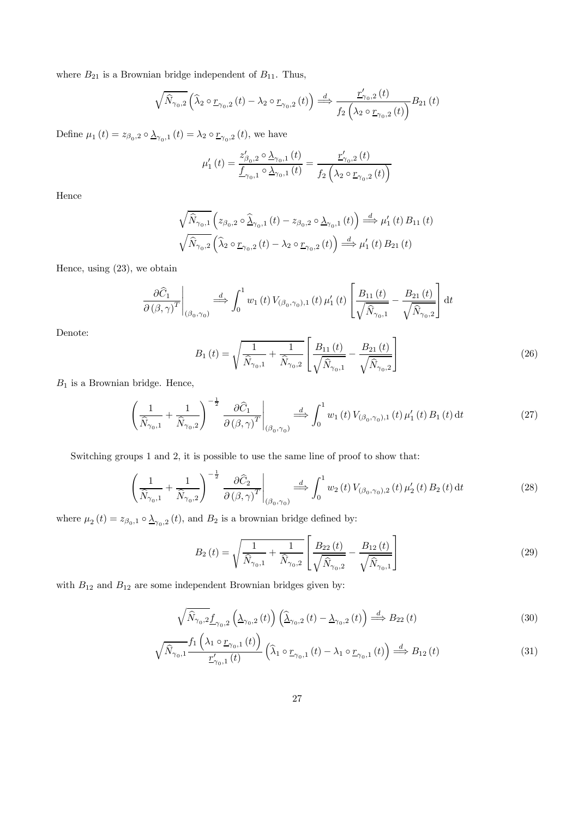where  $B_{21}$  is a Brownian bridge independent of  $B_{11}$ . Thus,

$$
\sqrt{\widehat{N}_{\gamma_0,2}}\left(\widehat{\lambda}_2 \circ \underline{r}_{\gamma_0,2}(t) - \lambda_2 \circ \underline{r}_{\gamma_0,2}(t)\right) \stackrel{d}{\Longrightarrow} \frac{\underline{r}'_{\gamma_0,2}(t)}{f_2\left(\lambda_2 \circ \underline{r}_{\gamma_0,2}(t)\right)} B_{21}(t)
$$

Define  $\mu_1(t) = z_{\beta_0,2} \circ \underline{\lambda}_{\gamma_0,1}(t) = \lambda_2 \circ \underline{r}_{\gamma_0,2}(t)$ , we have

$$
\mu_{1}'(t) = \frac{z_{\beta_{0},2}' \circ \Delta_{\gamma_{0},1}(t)}{f_{\gamma_{0},1} \circ \Delta_{\gamma_{0},1}(t)} = \frac{r_{\gamma_{0},2}'(t)}{f_{2}\left(\lambda_{2} \circ r_{\gamma_{0},2}(t)\right)}
$$

Hence

$$
\sqrt{\widehat{N}_{\gamma_{0},1}}\left(z_{\beta_{0},2}\circ\widehat{\underline{\lambda}}_{\gamma_{0},1}\left(t\right)-z_{\beta_{0},2}\circ\underline{\lambda}_{\gamma_{0},1}\left(t\right)\right)\stackrel{d}{\Longrightarrow}\mu_{1}'\left(t\right)B_{11}\left(t\right)
$$
  

$$
\sqrt{\widehat{N}_{\gamma_{0},2}}\left(\widehat{\lambda}_{2}\circ\underline{r}_{\gamma_{0},2}\left(t\right)-\lambda_{2}\circ\underline{r}_{\gamma_{0},2}\left(t\right)\right)\stackrel{d}{\Longrightarrow}\mu_{1}'\left(t\right)B_{21}\left(t\right)
$$

Hence, using (23), we obtain

$$
\left. \frac{\partial \widehat{C}_1}{\partial (\beta, \gamma)^T} \right|_{(\beta_0, \gamma_0)} \stackrel{d}{\Longrightarrow} \int_0^1 w_1(t) \, V_{(\beta_0, \gamma_0), 1}(t) \, \mu'_1(t) \left[ \frac{B_{11}(t)}{\sqrt{\widehat{N}_{\gamma_0, 1}}} - \frac{B_{21}(t)}{\sqrt{\widehat{N}_{\gamma_0, 2}}} \right] \mathrm{d}t
$$

Denote:

$$
B_1(t) = \sqrt{\frac{1}{\hat{N}_{\gamma_0,1}} + \frac{1}{\hat{N}_{\gamma_0,2}}} \left[ \frac{B_{11}(t)}{\sqrt{\hat{N}_{\gamma_0,1}}} - \frac{B_{21}(t)}{\sqrt{\hat{N}_{\gamma_0,2}}} \right]
$$
(26)

 $B_1$  is a Brownian bridge. Hence,

$$
\left(\frac{1}{\widehat{N}_{\gamma_0,1}} + \frac{1}{\widehat{N}_{\gamma_0,2}}\right)^{-\frac{1}{2}} \frac{\partial \widehat{C}_1}{\partial \left(\beta,\gamma\right)^T}\Big|_{\left(\beta_0,\gamma_0\right)} \stackrel{d}{\Longrightarrow} \int_0^1 w_1\left(t\right) V_{\left(\beta_0,\gamma_0\right),1}\left(t\right) \mu_1'\left(t\right) B_1\left(t\right) \mathrm{d}t\tag{27}
$$

Switching groups 1 and 2, it is possible to use the same line of proof to show that:

$$
\left(\frac{1}{\widehat{N}_{\gamma_0,1}} + \frac{1}{\widehat{N}_{\gamma_0,2}}\right)^{-\frac{1}{2}} \frac{\partial \widehat{C}_2}{\partial \left(\beta,\gamma\right)^T}\Big|_{\left(\beta_0,\gamma_0\right)} \stackrel{d}{\Longrightarrow} \int_0^1 w_2\left(t\right) V_{\left(\beta_0,\gamma_0\right),2}\left(t\right) \mu_2'\left(t\right) B_2\left(t\right) \mathrm{d}t\tag{28}
$$

where  $\mu_2(t) = z_{\beta_0,1} \circ \underline{\lambda}_{\gamma_0,2}(t)$ , and  $B_2$  is a brownian bridge defined by:

$$
B_2(t) = \sqrt{\frac{1}{\hat{N}_{\gamma_0,1}} + \frac{1}{\hat{N}_{\gamma_0,2}}} \left[ \frac{B_{22}(t)}{\sqrt{\hat{N}_{\gamma_0,2}}} - \frac{B_{12}(t)}{\sqrt{\hat{N}_{\gamma_0,1}}} \right]
$$
(29)

with  $\mathcal{B}_{12}$  and  $\mathcal{B}_{12}$  are some independent Brownian bridges given by:

$$
\sqrt{\widehat{N}_{\gamma_0,2}} \underline{f}_{\gamma_0,2} \left( \underline{\lambda}_{\gamma_0,2} \left( t \right) \right) \left( \widehat{\underline{\lambda}}_{\gamma_0,2} \left( t \right) - \underline{\lambda}_{\gamma_0,2} \left( t \right) \right) \stackrel{d}{\Longrightarrow} B_{22} \left( t \right) \tag{30}
$$

$$
\sqrt{\widehat{N}_{\gamma_0,1}} \frac{f_1\left(\lambda_1 \circ \underline{r}_{\gamma_0,1}(t)\right)}{\underline{r}_{\gamma_0,1}'(t)} \left(\widehat{\lambda}_1 \circ \underline{r}_{\gamma_0,1}(t) - \lambda_1 \circ \underline{r}_{\gamma_0,1}(t)\right) \stackrel{d}{\Longrightarrow} B_{12}(t)
$$
\n(31)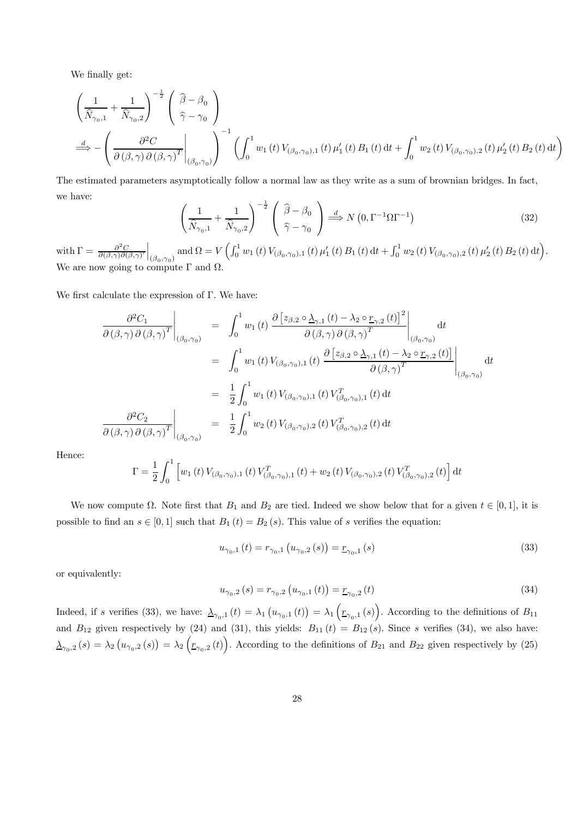We finally get:

$$
\begin{split}\label{eq:Riccati} & \left(\frac{1}{\hat{N}_{\gamma_{0},1}}+\frac{1}{\hat{N}_{\gamma_{0},2}}\right)^{-\frac{1}{2}}\left(\begin{array}{c} \widehat{\beta}-\beta_{0}\\ \widehat{\gamma}-\gamma_{0} \end{array}\right)\\[2mm] & \stackrel{d}{\Longrightarrow}-\left(\left.\frac{\partial^{2}C}{\partial\left(\beta,\gamma\right)\partial\left(\beta,\gamma\right)^{T}}\right|_{\left(\beta_{0},\gamma_{0}\right)}\right)^{-1}\left(\int_{0}^{1}w_{1}\left(t\right)V_{\left(\beta_{0},\gamma_{0}\right),1}\left(t\right)\mu_{1}'\left(t\right)B_{1}\left(t\right)\mathrm{d}t+\int_{0}^{1}w_{2}\left(t\right)V_{\left(\beta_{0},\gamma_{0}\right),2}\left(t\right)\mu_{2}'\left(t\right)B_{2}\left(t\right)\mathrm{d}t\right) \end{split}
$$

The estimated parameters asymptotically follow a normal law as they write as a sum of brownian bridges. In fact, we have:

$$
\left(\frac{1}{\hat{N}_{\gamma_0,1}} + \frac{1}{\hat{N}_{\gamma_0,2}}\right)^{-\frac{1}{2}} \left(\begin{array}{c} \hat{\beta} - \beta_0 \\ \hat{\gamma} - \gamma_0 \end{array}\right) \stackrel{d}{\Longrightarrow} N\left(0, \Gamma^{-1}\Omega\Gamma^{-1}\right) \tag{32}
$$

with  $\Gamma = \frac{\partial^2 C}{\partial(\beta,\gamma)\partial(\beta,\gamma)}$  $\Big|_{(\beta_0,\gamma_0)}$  and  $\Omega=V\left(\int_0^1 w_1\left(t\right) V_{(\beta_0,\gamma_0),1}\left(t\right) \mu_1'\left(t\right) B_1\left(t\right) \mathrm{d} t+\int_0^1 w_2\left(t\right) V_{(\beta_0,\gamma_0),2}\left(t\right) \mu_2'\left(t\right) B_2\left(t\right) \mathrm{d} t\right)$ . We are now going to compute  $\Gamma$  and  $\Omega$ .

We first calculate the expression of Γ. We have:

$$
\frac{\partial^2 C_1}{\partial (\beta, \gamma) \partial (\beta, \gamma)^T} \Big|_{(\beta_0, \gamma_0)} = \int_0^1 w_1(t) \left. \frac{\partial [z_{\beta,2} \circ \Delta_{\gamma,1} (t) - \lambda_2 \circ \underline{r}_{\gamma,2} (t)]^2}{\partial (\beta, \gamma) \partial (\beta, \gamma)^T} \right|_{(\beta_0, \gamma_0)} dt
$$
\n
$$
= \int_0^1 w_1(t) V_{(\beta_0, \gamma_0),1} (t) \left. \frac{\partial [z_{\beta,2} \circ \Delta_{\gamma,1} (t) - \lambda_2 \circ \underline{r}_{\gamma,2} (t)]}{\partial (\beta, \gamma)^T} \right|_{(\beta_0, \gamma_0)} dt
$$
\n
$$
= \left. \frac{1}{2} \int_0^1 w_1(t) V_{(\beta_0, \gamma_0),1} (t) V_{(\beta_0, \gamma_0),1}^T (t) dt
$$
\n
$$
\frac{\partial^2 C_2}{\partial (\beta, \gamma) \partial (\beta, \gamma)^T} \Big|_{(\beta_0, \gamma_0)} = \frac{1}{2} \int_0^1 w_2(t) V_{(\beta_0, \gamma_0),2} (t) V_{(\beta_0, \gamma_0),2}^T (t) dt
$$

Hence:

$$
\Gamma = \frac{1}{2} \int_0^1 \left[ w_1(t) V_{(\beta_0, \gamma_0), 1}(t) V_{(\beta_0, \gamma_0), 1}^T(t) + w_2(t) V_{(\beta_0, \gamma_0), 2}(t) V_{(\beta_0, \gamma_0), 2}^T(t) \right] dt
$$

We now compute  $\Omega$ . Note first that  $B_1$  and  $B_2$  are tied. Indeed we show below that for a given  $t \in [0,1]$ , it is possible to find an  $s \in [0,1]$  such that  $B_1(t) = B_2(s)$ . This value of s verifies the equation:

$$
u_{\gamma_0,1}(t) = r_{\gamma_0,1}(u_{\gamma_0,2}(s)) = \underline{r}_{\gamma_0,1}(s)
$$
\n(33)

or equivalently:

$$
u_{\gamma_0,2}(s) = r_{\gamma_0,2}\left(u_{\gamma_0,1}(t)\right) = \underline{r}_{\gamma_0,2}(t) \tag{34}
$$

Indeed, if s verifies (33), we have:  $\Delta_{\gamma_0,1}(t) = \lambda_1(u_{\gamma_0,1}(t)) = \lambda_1(\underline{r}_{\gamma_0,1}(s))$ . According to the definitions of  $B_{11}$ and  $B_{12}$  given respectively by (24) and (31), this yields:  $B_{11}(t) = B_{12}(s)$ . Since s verifies (34), we also have:  $\Delta_{\gamma_0,2}(s) = \lambda_2(u_{\gamma_0,2}(s)) = \lambda_2(\mathbf{r}_{\gamma_0,2}(t)).$  According to the definitions of  $B_{21}$  and  $B_{22}$  given respectively by (25)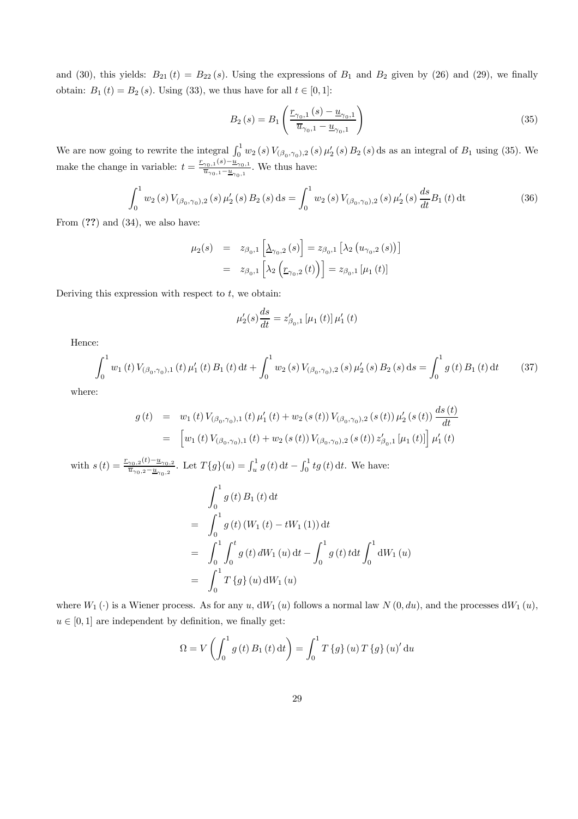and (30), this yields:  $B_{21} (t) = B_{22} (s)$ . Using the expressions of  $B_1$  and  $B_2$  given by (26) and (29), we finally obtain:  $B_1(t) = B_2(s)$ . Using (33), we thus have for all  $t \in [0, 1]$ :

$$
B_2(s) = B_1 \left( \frac{\underline{r}_{\gamma_0,1}(s) - \underline{u}_{\gamma_0,1}}{\overline{u}_{\gamma_0,1} - \underline{u}_{\gamma_0,1}} \right)
$$
(35)

We are now going to rewrite the integral  $\int_0^1 w_2(s) V_{(\beta_0,\gamma_0),2}(s) \mu'_2(s) B_2(s) ds$  as an integral of  $B_1$  using (35). We make the change in variable:  $t = \frac{r_{\gamma_0,1}(s) - \underline{u}_{\gamma_0,1}}{\overline{u}_{\gamma_0,1} - \underline{u}_{\gamma_0,1}}$ . We thus have:

$$
\int_0^1 w_2(s) V_{(\beta_0, \gamma_0),2}(s) \mu'_2(s) B_2(s) ds = \int_0^1 w_2(s) V_{(\beta_0, \gamma_0),2}(s) \mu'_2(s) \frac{ds}{dt} B_1(t) dt
$$
(36)

From  $(?)$  and  $(34)$ , we also have:

$$
\mu_2(s) = z_{\beta_0,1} \left[ \underline{\lambda}_{\gamma_0,2}(s) \right] = z_{\beta_0,1} \left[ \lambda_2 \left( u_{\gamma_0,2}(s) \right) \right]
$$
  
=  $z_{\beta_0,1} \left[ \lambda_2 \left( \underline{r}_{\gamma_0,2}(t) \right) \right] = z_{\beta_0,1} \left[ \mu_1(t) \right]$ 

Deriving this expression with respect to  $t$ , we obtain:

$$
\mu'_{2}(s)\frac{ds}{dt} = z'_{\beta_{0},1} \left[\mu_{1}(t)\right] \mu'_{1}(t)
$$

Hence:

$$
\int_0^1 w_1(t) V_{(\beta_0, \gamma_0), 1}(t) \mu'_1(t) B_1(t) dt + \int_0^1 w_2(s) V_{(\beta_0, \gamma_0), 2}(s) \mu'_2(s) B_2(s) ds = \int_0^1 g(t) B_1(t) dt \qquad (37)
$$

where:

$$
g(t) = w_1(t) V_{(\beta_0, \gamma_0), 1}(t) \mu'_1(t) + w_2(s(t)) V_{(\beta_0, \gamma_0), 2}(s(t)) \mu'_2(s(t)) \frac{ds(t)}{dt}
$$
  
= 
$$
\left[ w_1(t) V_{(\beta_0, \gamma_0), 1}(t) + w_2(s(t)) V_{(\beta_0, \gamma_0), 2}(s(t)) z'_{\beta_0, 1} [\mu_1(t)] \right] \mu'_1(t)
$$

with  $s(t) = \frac{r_{\gamma_0,2}(t) - u_{\gamma_0,2}}{\overline{u}_{\gamma_0,2} - u_{\gamma_0,2}}$ . Let  $T\{g\}(u) = \int_u^1 g(t) dt - \int_0^1 tg(t) dt$ . We have:  $\int_1^1$  $\int_{0}$  g (t)  $B_1(t) dt$  $=$   $\int_1^1$  $\int_{0}$  g(t) (W<sub>1</sub>(t) – tW<sub>1</sub>(1)) dt  $=$   $\int_1^1$ 0  $\int_0^t$  $\int_{0}$  g (t) dW<sub>1</sub> (u) dt –  $\int_0^1$ 0  $g(t) t dt \int_0^1$  $\bigcup_{0}$  dW<sub>1</sub> (*u*)  $=$   $\int_1^1$  $\int_{0}^{1} T\{g\}(u) dW_{1}(u)$ 

where  $W_1(\cdot)$  is a Wiener process. As for any u,  $dW_1(u)$  follows a normal law  $N(0, du)$ , and the processes  $dW_1(u)$ ,  $u \in [0, 1]$  are independent by definition, we finally get:

$$
\Omega = V \left( \int_0^1 g(t) B_1(t) dt \right) = \int_0^1 T \left\{ g \right\}(u) T \left\{ g \right\}(u)' du
$$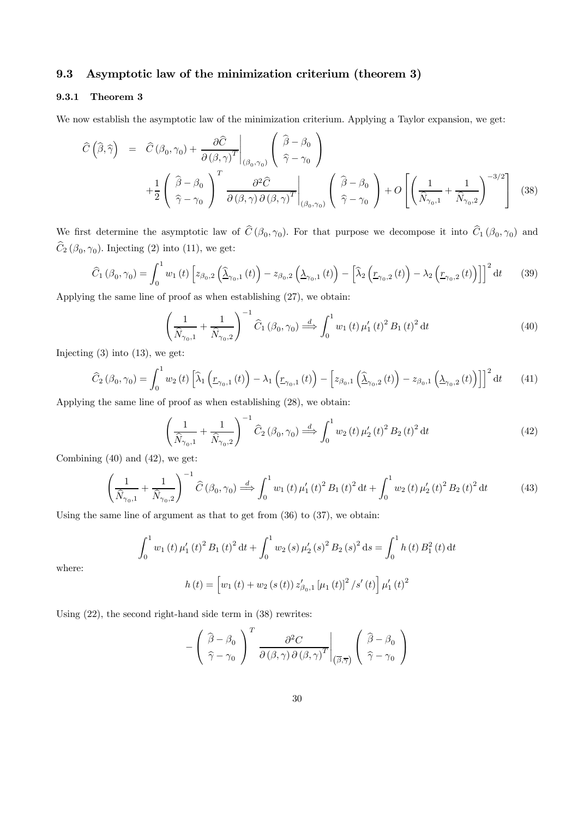# 9.3 Asymptotic law of the minimization criterium (theorem 3)

## 9.3.1 Theorem 3

We now establish the asymptotic law of the minimization criterium. Applying a Taylor expansion, we get:

$$
\widehat{C}\left(\widehat{\beta},\widehat{\gamma}\right) = \widehat{C}\left(\beta_0,\gamma_0\right) + \frac{\partial \widehat{C}}{\partial\left(\beta,\gamma\right)^T}\Big|_{\left(\beta_0,\gamma_0\right)} \left(\begin{array}{c} \widehat{\beta}-\beta_0\\ \widehat{\gamma}-\gamma_0 \end{array}\right) + \frac{1}{2}\left(\begin{array}{c} \widehat{\beta}-\beta_0\\ \widehat{\gamma}-\gamma_0 \end{array}\right)^T \frac{\partial^2 \widehat{C}}{\partial\left(\beta,\gamma\right)\partial\left(\beta,\gamma\right)^T}\Big|_{\left(\beta_0,\gamma_0\right)} \left(\begin{array}{c} \widehat{\beta}-\beta_0\\ \widehat{\gamma}-\gamma_0 \end{array}\right) + O\left[\left(\frac{1}{\widehat{N}_{\gamma_0,1}}+\frac{1}{\widehat{N}_{\gamma_0,2}}\right)^{-3/2}\right] \tag{38}
$$

⎞

We first determine the asymptotic law of  $\hat{C}(\beta_0, \gamma_0)$ . For that purpose we decompose it into  $\hat{C}_1(\beta_0, \gamma_0)$  and  $\widehat{C}_2 (\beta_0, \gamma_0)$ . Injecting (2) into (11), we get:

$$
\widehat{C}_{1}\left(\beta_{0},\gamma_{0}\right) = \int_{0}^{1} w_{1}\left(t\right) \left[z_{\beta_{0},2}\left(\widehat{\lambda}_{\gamma_{0},1}\left(t\right)\right) - z_{\beta_{0},2}\left(\lambda_{\gamma_{0},1}\left(t\right)\right) - \left[\widehat{\lambda}_{2}\left(\underline{r}_{\gamma_{0},2}\left(t\right)\right) - \lambda_{2}\left(\underline{r}_{\gamma_{0},2}\left(t\right)\right)\right]\right]^{2} \mathrm{d}t \tag{39}
$$

Applying the same line of proof as when establishing (27), we obtain:

$$
\left(\frac{1}{\hat{N}_{\gamma_0,1}} + \frac{1}{\hat{N}_{\gamma_0,2}}\right)^{-1} \hat{C}_1(\beta_0, \gamma_0) \stackrel{d}{\Longrightarrow} \int_0^1 w_1(t) \,\mu'_1(t)^2 \,B_1(t)^2 \,dt \tag{40}
$$

Injecting  $(3)$  into  $(13)$ , we get:

$$
\widehat{C}_{2}\left(\beta_{0},\gamma_{0}\right) = \int_{0}^{1} w_{2}\left(t\right) \left[\widehat{\lambda}_{1}\left(\underline{r}_{\gamma_{0},1}\left(t\right)\right) - \lambda_{1}\left(\underline{r}_{\gamma_{0},1}\left(t\right)\right) - \left[z_{\beta_{0},1}\left(\widehat{\lambda}_{\gamma_{0},2}\left(t\right)\right) - z_{\beta_{0},1}\left(\lambda_{\gamma_{0},2}\left(t\right)\right)\right]\right]^{2} \mathrm{d}t \tag{41}
$$

Applying the same line of proof as when establishing (28), we obtain:

$$
\left(\frac{1}{\hat{N}_{\gamma_0,1}} + \frac{1}{\hat{N}_{\gamma_0,2}}\right)^{-1} \hat{C}_2\left(\beta_0, \gamma_0\right) \stackrel{d}{\Longrightarrow} \int_0^1 w_2\left(t\right) \mu'_2\left(t\right)^2 B_2\left(t\right)^2 \mathrm{d}t\tag{42}
$$

Combining (40) and (42), we get:

$$
\left(\frac{1}{\hat{N}_{\gamma_0,1}} + \frac{1}{\hat{N}_{\gamma_0,2}}\right)^{-1} \hat{C}\left(\beta_0, \gamma_0\right) \stackrel{d}{\Longrightarrow} \int_0^1 w_1\left(t\right) \mu_1'\left(t\right)^2 B_1\left(t\right)^2 \mathrm{d}t + \int_0^1 w_2\left(t\right) \mu_2'\left(t\right)^2 B_2\left(t\right)^2 \mathrm{d}t \tag{43}
$$

Using the same line of argument as that to get from (36) to (37), we obtain:

$$
\int_0^1 w_1(t) \,\mu'_1(t)^2 B_1(t)^2 dt + \int_0^1 w_2(s) \,\mu'_2(s)^2 B_2(s)^2 ds = \int_0^1 h(t) B_1^2(t) dt
$$

$$
h(t) = \left[ w_1(t) + w_2(s(t)) z'_{\beta_0,1} [\mu_1(t)]^2 / s'(t) \right] \mu'_1(t)^2
$$

where:

Using 
$$
(22)
$$
, the second right is  $(38)$  rewrites:

−

$$
-\left(\frac{\widehat{\beta}-\beta_0}{\widehat{\gamma}-\gamma_0}\right)^T \frac{\partial^2 C}{\partial(\beta,\gamma)\partial(\beta,\gamma)^T}\Big|_{(\overline{\beta},\overline{\gamma})}\left(\frac{\widehat{\beta}-\beta_0}{\widehat{\gamma}-\gamma_0}\right)
$$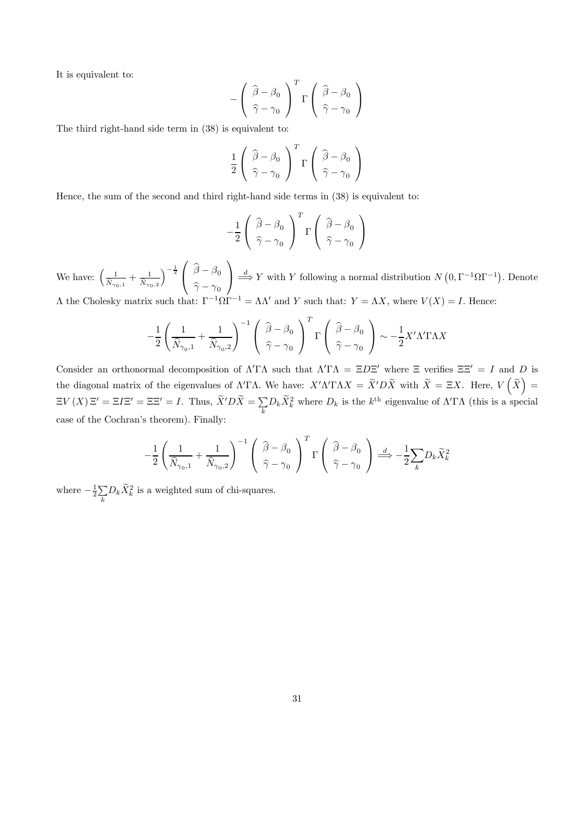It is equivalent to:

$$
-\left(\begin{array}{c}\widehat{\beta}-\beta_0\\\widehat{\gamma}-\gamma_0\end{array}\right)^T\Gamma\left(\begin{array}{c}\widehat{\beta}-\beta_0\\\widehat{\gamma}-\gamma_0\end{array}\right)
$$

The third right-hand side term in (38) is equivalent to:

$$
\frac{1}{2} \left( \begin{array}{c} \widehat{\beta} - \beta_0 \\ \widehat{\gamma} - \gamma_0 \end{array} \right)^T \Gamma \left( \begin{array}{c} \widehat{\beta} - \beta_0 \\ \widehat{\gamma} - \gamma_0 \end{array} \right)
$$

Hence, the sum of the second and third right-hand side terms in (38) is equivalent to:

$$
-\frac{1}{2}\left(\begin{array}{c}\widehat{\beta}-\beta_0\\ \widehat{\gamma}-\gamma_0\end{array}\right)^T\Gamma\left(\begin{array}{c}\widehat{\beta}-\beta_0\\ \widehat{\gamma}-\gamma_0\end{array}\right)
$$

We have:  $\left(\frac{1}{\hat{N}_{\gamma_0,1}} + \frac{1}{\hat{N}_{\gamma_0,2}}\right)$  $\frac{1}{2}$  $\int_{\hat{\infty}}^{\beta-\beta_0}$  $\widehat{\gamma} - \gamma_0$  $\setminus$  $\frac{d}{dx} Y$  with Y following a normal distribution  $N(0, \Gamma^{-1}\Omega\Gamma^{-1})$ . Denote  $Λ$  the Cholesky matrix such that:  $Γ^{-1}ΩΓ^{-1} = ΛΛ'$  and Y such that:  $Y = ΛX$ , where  $V(X) = I$ . Hence:

$$
-\frac{1}{2}\left(\frac{1}{\hat{N}_{\gamma_0,1}}+\frac{1}{\hat{N}_{\gamma_0,2}}\right)^{-1}\left(\begin{array}{c}\widehat{\beta}-\beta_0\\ \widehat{\gamma}-\gamma_0\end{array}\right)^T\Gamma\left(\begin{array}{c}\widehat{\beta}-\beta_0\\ \widehat{\gamma}-\gamma_0\end{array}\right)\sim -\frac{1}{2}X'\Lambda'\Gamma\Lambda X
$$

Consider an orthonormal decomposition of  $\Lambda' \Gamma \Lambda$  such that  $\Lambda' \Gamma \Lambda = \Xi D \Xi'$  where  $\Xi$  verifies  $\Xi \Xi' = I$  and D is the diagonal matrix of the eigenvalues of  $\Lambda' \Gamma \Lambda$ . We have:  $X' \Lambda' \Gamma \Lambda X = \tilde{X}' D \tilde{X}$  with  $\tilde{X} = \Xi X$ . Here,  $V(\tilde{X}) =$  $\Xi V(X) \Xi' = \Xi I \Xi' = \Xi \Xi' = I$ . Thus,  $\widetilde{X}' D \widetilde{X} = \sum_k D_k \widetilde{X}_k^2$  where  $D_k$  is the  $k^{\text{th}}$  eigenvalue of  $\Lambda' \Gamma \Lambda$  (this is a special case of the Cochran's theorem). Finally:

$$
-\frac{1}{2}\left(\frac{1}{\hat{N}_{\gamma_0,1}}+\frac{1}{\hat{N}_{\gamma_0,2}}\right)^{-1}\left(\begin{array}{c}\widehat{\beta}-\beta_0\\ \widehat{\gamma}-\gamma_0\end{array}\right)^T\Gamma\left(\begin{array}{c}\widehat{\beta}-\beta_0\\ \widehat{\gamma}-\gamma_0\end{array}\right)\overset{d}{\Longrightarrow}-\frac{1}{2}\sum_kD_k\widetilde{X}_k^2
$$

where  $-\frac{1}{2}\sum_{i}$  $\sum_k D_k \tilde{X}_k^2$  is a weighted sum of chi-squares.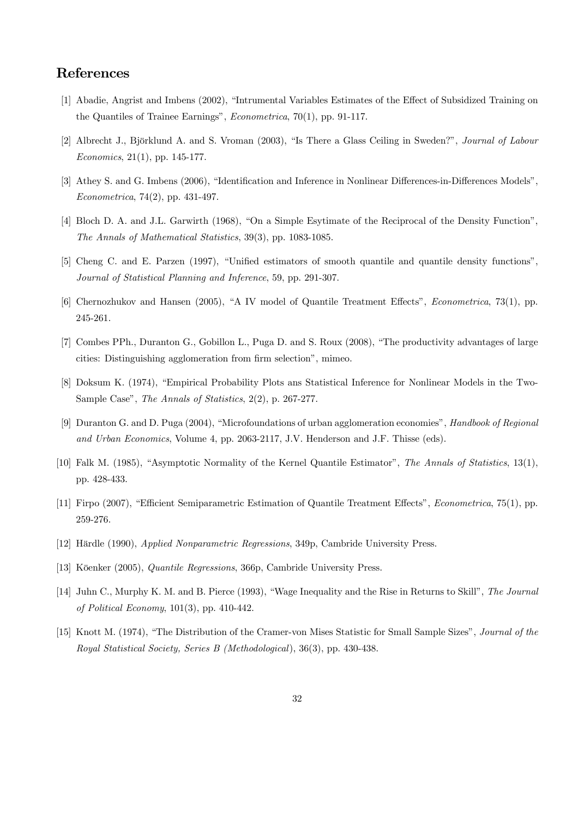# References

- [1] Abadie, Angrist and Imbens (2002), "Intrumental Variables Estimates of the Effect of Subsidized Training on the Quantiles of Trainee Earnings", Econometrica, 70(1), pp. 91-117.
- [2] Albrecht J., Björklund A. and S. Vroman (2003), "Is There a Glass Ceiling in Sweden?", Journal of Labour Economics, 21(1), pp. 145-177.
- [3] Athey S. and G. Imbens (2006), "Identification and Inference in Nonlinear Differences-in-Differences Models", Econometrica, 74(2), pp. 431-497.
- [4] Bloch D. A. and J.L. Garwirth (1968), "On a Simple Esytimate of the Reciprocal of the Density Function", The Annals of Mathematical Statistics, 39(3), pp. 1083-1085.
- [5] Cheng C. and E. Parzen (1997), "Unified estimators of smooth quantile and quantile density functions", Journal of Statistical Planning and Inference, 59, pp. 291-307.
- [6] Chernozhukov and Hansen (2005), "A IV model of Quantile Treatment Effects", Econometrica, 73(1), pp. 245-261.
- [7] Combes PPh., Duranton G., Gobillon L., Puga D. and S. Roux (2008), "The productivity advantages of large cities: Distinguishing agglomeration from firm selection", mimeo.
- [8] Doksum K. (1974), "Empirical Probability Plots ans Statistical Inference for Nonlinear Models in the Two-Sample Case", The Annals of Statistics, 2(2), p. 267-277.
- [9] Duranton G. and D. Puga (2004), "Microfoundations of urban agglomeration economies", Handbook of Regional and Urban Economics, Volume 4, pp. 2063-2117, J.V. Henderson and J.F. Thisse (eds).
- [10] Falk M. (1985), "Asymptotic Normality of the Kernel Quantile Estimator", The Annals of Statistics, 13(1), pp. 428-433.
- [11] Firpo (2007), "Efficient Semiparametric Estimation of Quantile Treatment Effects", Econometrica, 75(1), pp. 259-276.
- [12] Härdle (1990), Applied Nonparametric Regressions, 349p, Cambride University Press.
- [13] Köenker (2005), Quantile Regressions, 366p, Cambride University Press.
- [14] Juhn C., Murphy K. M. and B. Pierce (1993), "Wage Inequality and the Rise in Returns to Skill", The Journal of Political Economy, 101(3), pp. 410-442.
- [15] Knott M. (1974), "The Distribution of the Cramer-von Mises Statistic for Small Sample Sizes", Journal of the Royal Statistical Society, Series B (Methodological), 36(3), pp. 430-438.